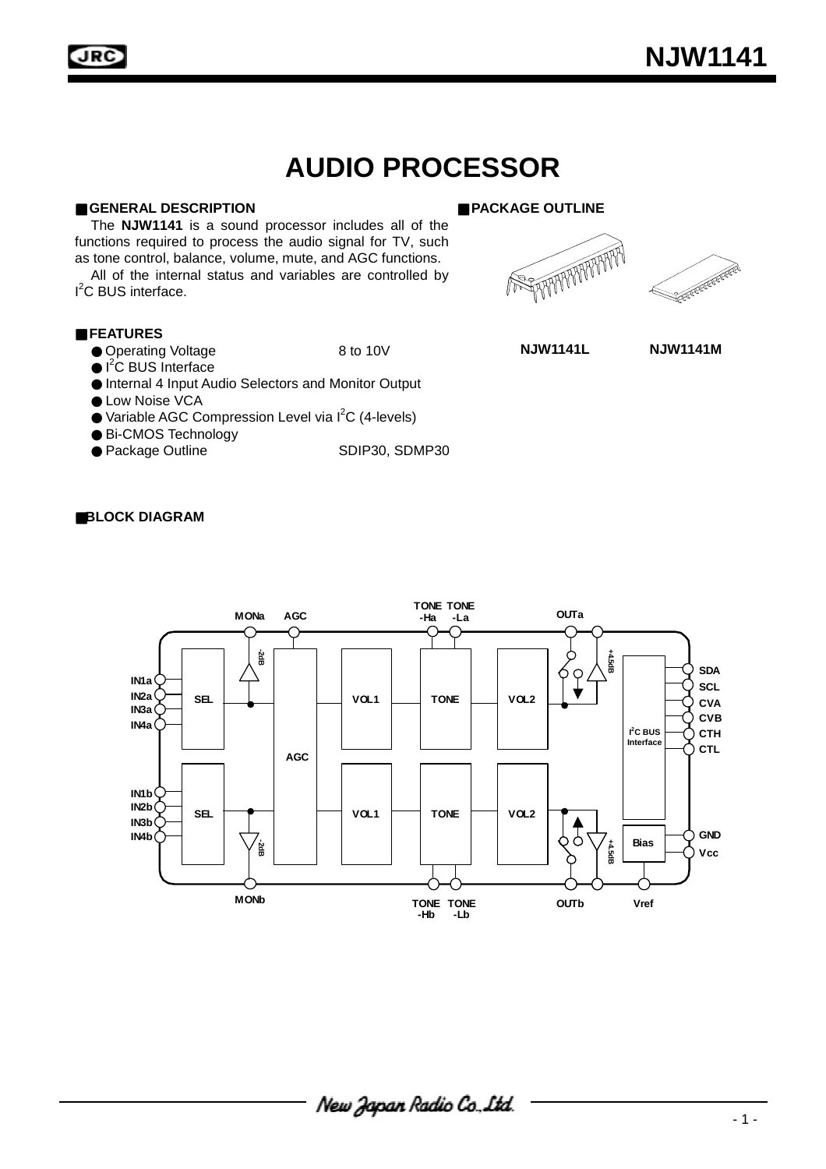**AUDIO PROCESSOR** 



JRC

**ASSESSMENT PROPERTY** 

# ■ GENERAL DESCRIPTION ● ■ PACKAGE OUTLINE

The **NJW1141** is a sound processor includes all of the functions required to process the audio signal for TV, such as tone control, balance, volume, mute, and AGC functions.

All of the internal status and variables are controlled by I<sup>2</sup>C BUS interface.

# ■ **FEATURES**

- Operating Voltage 8 to 10V
- $\bullet$  I<sup>2</sup>C BUS Interface
- Internal 4 Input Audio Selectors and Monitor Output
- Low Noise VCA
- Variable AGC Compression Level via I<sup>2</sup>C (4-levels)
- Bi-CMOS Technology
- Package Outline SDIP30, SDMP30

#### ■**BLOCK DIAGRAM**

1



**NJW1141L NJW1141M**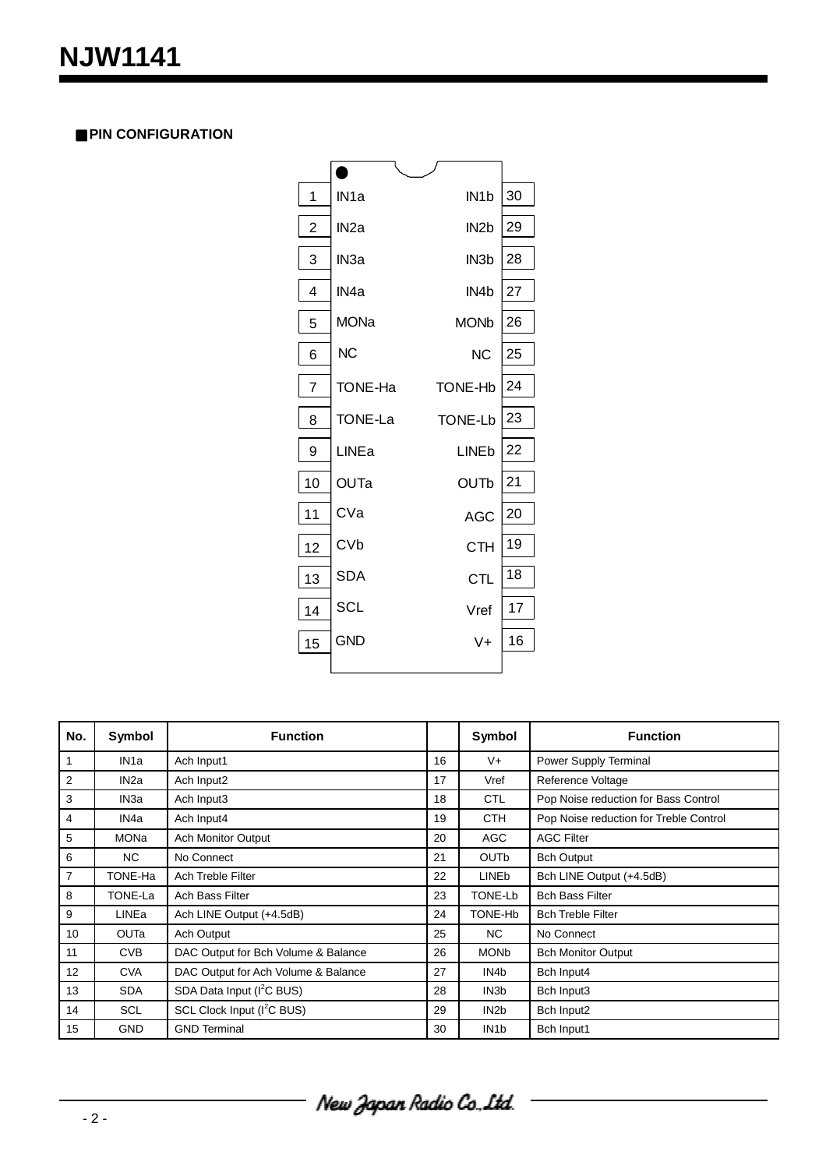# **■ PIN CONFIGURATION**



| No.            | Symbol            | <b>Function</b>                        |    | Symbol            | <b>Function</b>                        |
|----------------|-------------------|----------------------------------------|----|-------------------|----------------------------------------|
| 1              | IN <sub>1</sub> a | Ach Input1                             | 16 | V+                | Power Supply Terminal                  |
| 2              | IN <sub>2a</sub>  | Ach Input2                             | 17 | Vref              | Reference Voltage                      |
| 3              | IN3a              | Ach Input3                             | 18 | <b>CTL</b>        | Pop Noise reduction for Bass Control   |
| $\overline{4}$ | IN4a              | Ach Input4                             | 19 | <b>CTH</b>        | Pop Noise reduction for Treble Control |
| 5              | MONa              | <b>Ach Monitor Output</b>              | 20 | <b>AGC</b>        | <b>AGC Filter</b>                      |
| 6              | NC.               | No Connect                             | 21 | <b>OUTb</b>       | <b>Bch Output</b>                      |
| $\overline{7}$ | TONE-Ha           | <b>Ach Treble Filter</b>               | 22 | <b>LINEb</b>      | Bch LINE Output (+4.5dB)               |
| 8              | TONE-La           | Ach Bass Filter                        | 23 | TONE-Lb           | <b>Bch Bass Filter</b>                 |
| 9              | <b>LINEa</b>      | Ach LINE Output (+4.5dB)               | 24 | TONE-Hb           | <b>Bch Treble Filter</b>               |
| 10             | <b>OUTa</b>       | Ach Output                             | 25 | NC                | No Connect                             |
| 11             | <b>CVB</b>        | DAC Output for Bch Volume & Balance    | 26 | <b>MONb</b>       | <b>Bch Monitor Output</b>              |
| 12             | <b>CVA</b>        | DAC Output for Ach Volume & Balance    | 27 | IN4b              | Bch Input4                             |
| 13             | <b>SDA</b>        | SDA Data Input (I <sup>2</sup> C BUS)  | 28 | IN <sub>3</sub> b | Bch Input3                             |
| 14             | <b>SCL</b>        | SCL Clock Input (I <sup>2</sup> C BUS) | 29 | IN <sub>2</sub> b | Bch Input2                             |
| 15             | <b>GND</b>        | <b>GND Terminal</b>                    | 30 | IN <sub>1</sub> b | Bch Input1                             |

New Japan Radio Co. Ltd.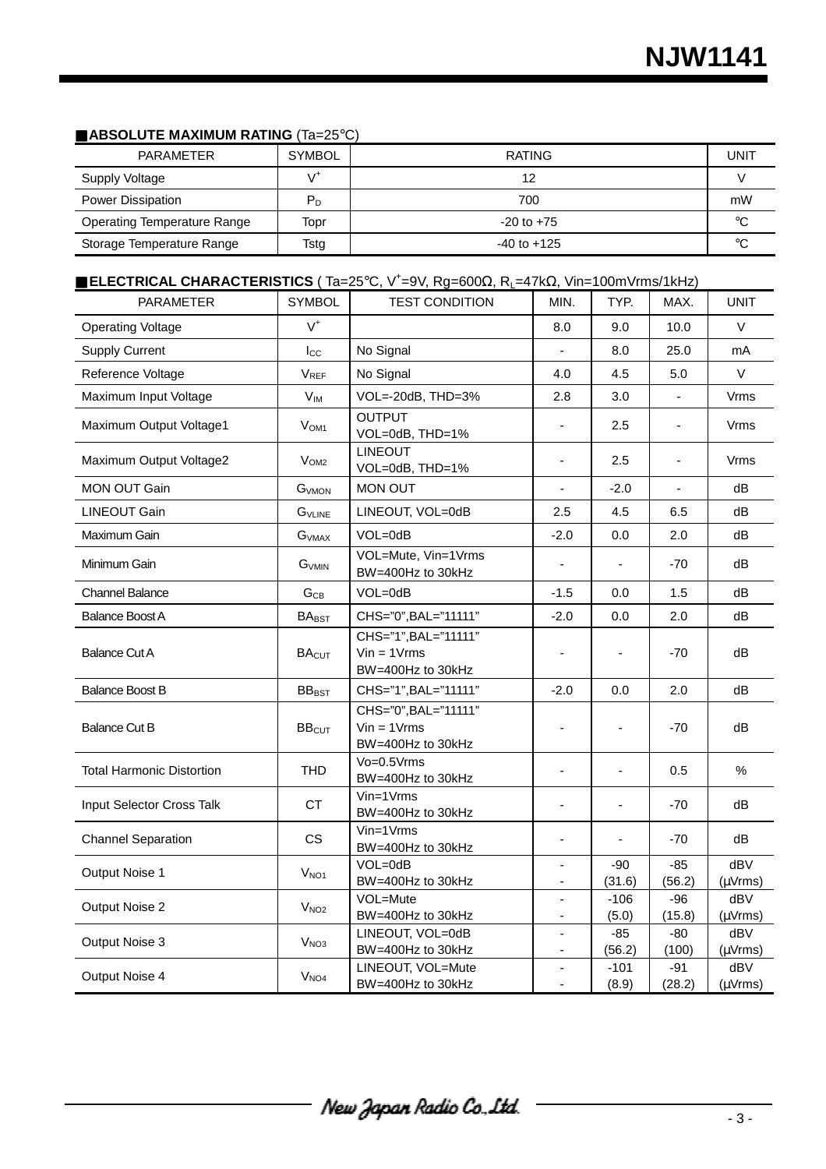### ■ **ABSOLUTE MAXIMUM RATING** (Ta=25°C)

| PARAMETER                          | <b>SYMBOL</b>           | <b>RATING</b>   | UNIT |
|------------------------------------|-------------------------|-----------------|------|
| Supply Voltage                     | ۰/                      | 12              |      |
| Power Dissipation                  | $\mathsf{P}_\mathsf{D}$ | 700             | mW   |
| <b>Operating Temperature Range</b> | Topr                    | $-20$ to $+75$  | °C   |
| Storage Temperature Range          | Tstg                    | $-40$ to $+125$ | ി    |

#### ■ **ELECTRICAL CHARACTERISTICS** ( Ta=25°C, V+ =9V, Rg=600Ω, RL=47kΩ, Vin=100mVrms/1kHz)

| <b>PARAMETER</b>                 | <b>SYMBOL</b>      | <b>TEST CONDITION</b>                                      | MIN.                     | TYP.            | MAX.            | <b>UNIT</b>          |
|----------------------------------|--------------------|------------------------------------------------------------|--------------------------|-----------------|-----------------|----------------------|
| <b>Operating Voltage</b>         | $V^+$              |                                                            | 8.0                      | 9.0             | 10.0            | V                    |
| <b>Supply Current</b>            | $I_{\rm CC}$       | No Signal                                                  |                          | 8.0             | 25.0            | mA                   |
| Reference Voltage                | $V_{REF}$          | No Signal                                                  | 4.0                      | 4.5             | 5.0             | $\vee$               |
| Maximum Input Voltage            | $V_{IM}$           | VOL=-20dB, THD=3%                                          | 2.8                      | 3.0             |                 | Vrms                 |
| Maximum Output Voltage1          | V <sub>OM1</sub>   | <b>OUTPUT</b><br>VOL=0dB, THD=1%                           |                          | 2.5             | ä,              | Vrms                 |
| Maximum Output Voltage2          | V <sub>OM2</sub>   | <b>LINEOUT</b><br>VOL=0dB, THD=1%                          | $\overline{a}$           | 2.5             | ä,              | Vrms                 |
| <b>MON OUT Gain</b>              | GVMON              | <b>MON OUT</b>                                             |                          | $-2.0$          |                 | dB                   |
| <b>LINEOUT Gain</b>              | G <sub>VLINE</sub> | LINEOUT, VOL=0dB                                           | 2.5                      | 4.5             | 6.5             | dB                   |
| Maximum Gain                     | G <sub>VMAX</sub>  | $VOL = OdB$                                                | $-2.0$                   | 0.0             | 2.0             | dB                   |
| Minimum Gain                     | G <sub>VMIN</sub>  | VOL=Mute, Vin=1Vrms<br>BW=400Hz to 30kHz                   | $\blacksquare$           |                 | $-70$           | dB                   |
| <b>Channel Balance</b>           | $G_{CB}$           | VOL=0dB                                                    | $-1.5$                   | 0.0             | 1.5             | dB                   |
| <b>Balance Boost A</b>           | $BA_{\text{BST}}$  | CHS="0", BAL="11111"                                       | $-2.0$                   | 0.0             | 2.0             | dB                   |
| <b>Balance Cut A</b>             | <b>BACUT</b>       | CHS="1", BAL="11111"<br>$Vin = 1Vrms$<br>BW=400Hz to 30kHz |                          |                 | $-70$           | dB                   |
| <b>Balance Boost B</b>           | $BB_{\text{BST}}$  | CHS="1", BAL="11111"                                       | $-2.0$                   | 0.0             | 2.0             | dB                   |
| <b>Balance Cut B</b>             | BB <sub>CUT</sub>  | CHS="0", BAL="11111"<br>$Vin = 1Vrms$<br>BW=400Hz to 30kHz |                          | $\blacksquare$  | $-70$           | dВ                   |
| <b>Total Harmonic Distortion</b> | <b>THD</b>         | Vo=0.5Vrms<br>BW=400Hz to 30kHz                            | $\overline{\phantom{a}}$ | $\blacksquare$  | 0.5             | $\%$                 |
| Input Selector Cross Talk        | <b>CT</b>          | $Vin=1Vrms$<br>BW=400Hz to 30kHz                           |                          |                 | $-70$           | dВ                   |
| <b>Channel Separation</b>        | <b>CS</b>          | $Vin=1Vrms$<br>BW=400Hz to 30kHz                           |                          |                 | $-70$           | dB                   |
| Output Noise 1                   | V <sub>NO1</sub>   | $VOL = OdB$<br>BW=400Hz to 30kHz                           | $\overline{\phantom{a}}$ | -90<br>(31.6)   | $-85$<br>(56.2) | dBV<br>$(\mu V$ rms) |
| Output Noise 2                   | V <sub>NO2</sub>   | VOL=Mute<br>BW=400Hz to 30kHz                              | $\overline{\phantom{a}}$ | $-106$<br>(5.0) | $-96$<br>(15.8) | dBV<br>$(\mu V$ rms) |
| Output Noise 3                   | V <sub>NO3</sub>   | LINEOUT, VOL=0dB<br>BW=400Hz to 30kHz                      | $\blacksquare$           | $-85$<br>(56.2) | $-80$<br>(100)  | dBV<br>$(\mu V$ rms) |
| Output Noise 4                   | V <sub>NO4</sub>   | LINEOUT, VOL=Mute<br>BW=400Hz to 30kHz                     |                          | $-101$<br>(8.9) | $-91$<br>(28.2) | dBV<br>(µVrms)       |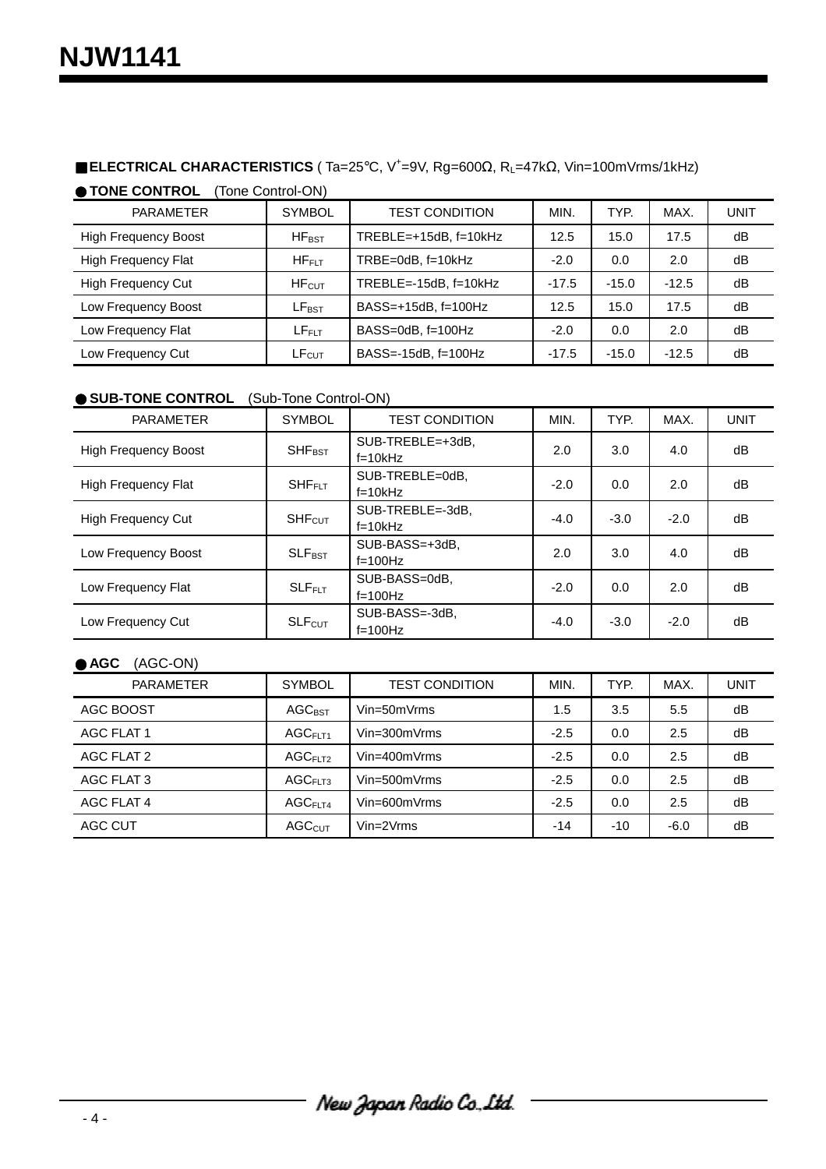# ■ **ELECTRICAL CHARACTERISTICS** ( Ta=25°C, V<sup>+</sup>=9V, Rg=600Ω, R<sub>L</sub>=47kΩ, Vin=100mVrms/1kHz)

● **TONE CONTROL** (Tone Control-ON)

| PARAMETER                   | <b>SYMBOL</b>     | <b>TEST CONDITION</b>          | MIN.    | TYP.    | MAX.    | UNIT |
|-----------------------------|-------------------|--------------------------------|---------|---------|---------|------|
| <b>High Frequency Boost</b> | $HF_{RST}$        | $TREBLE=+15dB, f=10kHz$        | 12.5    | 15.0    | 17.5    | dB   |
| <b>High Frequency Flat</b>  | $HF_{\sf EIT}$    | $TRBE = 0dB$ , $f = 10kHz$     | $-2.0$  | 0.0     | 2.0     | dB   |
| <b>High Frequency Cut</b>   | HF <sub>CUT</sub> | $TREBLE = -15dB$ , $f = 10kHz$ | $-17.5$ | $-15.0$ | $-12.5$ | dB   |
| Low Frequency Boost         | $LF_{\text{BST}}$ | BASS=+15dB, f=100Hz            | 12.5    | 15.0    | 17.5    | dB   |
| Low Frequency Flat          | $LF_{FLT}$        | $BASS=0dB$ , $f=100Hz$         | $-2.0$  | 0.0     | 2.0     | dB   |
| Low Frequency Cut           | LF <sub>CUT</sub> | $BASS = -15dB$ , $f = 100Hz$   | $-17.5$ | $-15.0$ | $-12.5$ | dB   |

# ● **SUB-TONE CONTROL** (Sub-Tone Control-ON)

| <b>PARAMETER</b>            | <b>SYMBOL</b>            | <b>TEST CONDITION</b>           | MIN.                                                                                                                          | TYP. | MAX. | <b>UNIT</b> |
|-----------------------------|--------------------------|---------------------------------|-------------------------------------------------------------------------------------------------------------------------------|------|------|-------------|
| <b>High Frequency Boost</b> | <b>SHF<sub>BST</sub></b> | $SUB-TREBLE=+3dB.$<br>$f=10kHz$ | 2.0                                                                                                                           | 3.0  | 4.0  | dB          |
| <b>High Frequency Flat</b>  | <b>SHFFLT</b>            | SUB-TREBLE=0dB.<br>$f=10kHz$    | $-2.0$<br>2.0<br>0.0<br>$-4.0$<br>$-3.0$<br>$-2.0$<br>2.0<br>3.0<br>4.0<br>2.0<br>$-2.0$<br>0.0<br>$-4.0$<br>$-3.0$<br>$-2.0$ | dB   |      |             |
| <b>High Frequency Cut</b>   | SHF <sub>CUT</sub>       | SUB-TREBLE=-3dB.<br>$f=10kHz$   |                                                                                                                               |      |      | dB          |
| Low Frequency Boost         | $SLF_{\text{BST}}$       | SUB-BASS=+3dB.<br>$f=100$ Hz    |                                                                                                                               |      |      | dB          |
| Low Frequency Flat          | $SLF$ FLT                | SUB-BASS=0dB,<br>$f=100Hz$      |                                                                                                                               |      |      | dB          |
| Low Frequency Cut           | <b>SLFcut</b>            | SUB-BASS=-3dB.<br>$f=100$ Hz    |                                                                                                                               |      |      | dB          |

# ● **AGC** (AGC-ON)

| <b>PARAMETER</b> | <b>SYMBOL</b>       | <b>TEST CONDITION</b> | MIN.   | TYP.  | MAX.   | UNIT |
|------------------|---------------------|-----------------------|--------|-------|--------|------|
| AGC BOOST        | <b>AGCBST</b>       | $Vin=50mVrms$         | 1.5    | 3.5   | 5.5    | dB   |
| AGC FLAT 1       | AGC <sub>F1T1</sub> | $Vin=300mVrms$        | $-2.5$ | 0.0   | 2.5    | dB   |
| AGC FLAT 2       | AGC <sub>FLT2</sub> | $Vin=400mVrms$        | $-2.5$ | 0.0   | 2.5    | dB   |
| AGC FLAT 3       | AGC <sub>FLT3</sub> | $Vin=500mVrms$        | $-2.5$ | 0.0   | 2.5    | dB   |
| AGC FLAT 4       | $AGC$ FIT4          | $Vin=600mVrms$        | $-2.5$ | 0.0   | 2.5    | dB   |
| AGC CUT          | AGC <sub>CUT</sub>  | $Vin=2Vrms$           | $-14$  | $-10$ | $-6.0$ | dB   |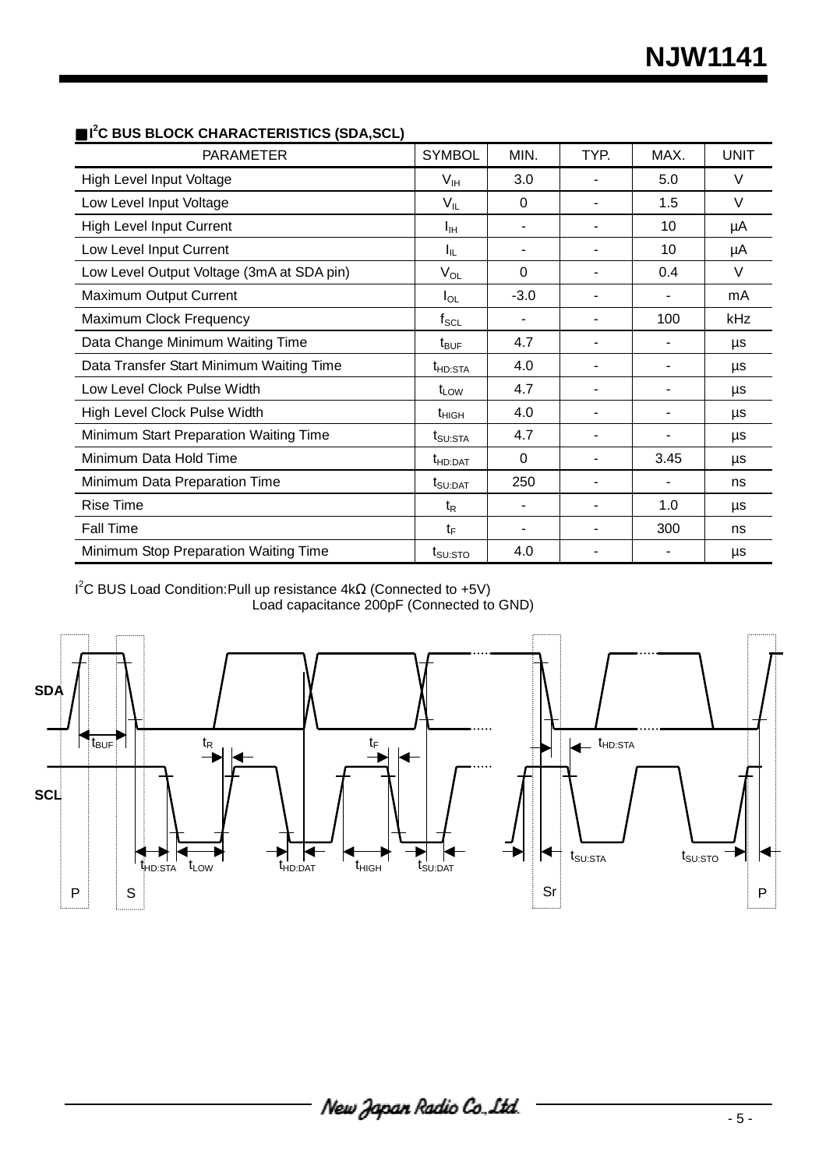| <b>PARAMETER</b>                          | <b>SYMBOL</b>       | MIN.                     | TYP. | MAX. | <b>UNIT</b> |
|-------------------------------------------|---------------------|--------------------------|------|------|-------------|
| <b>High Level Input Voltage</b>           | V <sub>IH</sub>     | 3.0                      |      | 5.0  | $\vee$      |
| Low Level Input Voltage                   | $V_{IL}$            | $\Omega$                 |      | 1.5  | $\vee$      |
| <b>High Level Input Current</b>           | Īщ                  | $\blacksquare$           |      | 10   | μA          |
| Low Level Input Current                   | Ιı                  | ٠                        |      | 10   | μA          |
| Low Level Output Voltage (3mA at SDA pin) | $V_{OL}$            | $\Omega$                 |      | 0.4  | $\vee$      |
| Maximum Output Current                    | $I_{OL}$            | $-3.0$                   |      |      | mA          |
| Maximum Clock Frequency                   | $f_{\rm SCL}$       | $\overline{\phantom{a}}$ |      | 100  | kHz         |
| Data Change Minimum Waiting Time          | $t_{\text{BUF}}$    | 4.7                      |      |      | μs          |
| Data Transfer Start Minimum Waiting Time  | t <sub>HD:STA</sub> | 4.0                      |      |      | μs          |
| Low Level Clock Pulse Width               | $t_{LOW}$           | 4.7                      |      |      | μs          |
| High Level Clock Pulse Width              | $t_{\text{HIGH}}$   | 4.0                      |      |      | μs          |
| Minimum Start Preparation Waiting Time    | $t_{\text{SU:STA}}$ | 4.7                      |      |      | μs          |
| Minimum Data Hold Time                    | t <sub>HD:DAT</sub> | $\Omega$                 |      | 3.45 | μs          |
| Minimum Data Preparation Time             | $t_{\text{SU:DAT}}$ | 250                      |      |      | ns          |
| <b>Rise Time</b>                          | t <sub>R</sub>      |                          |      | 1.0  | μs          |
| <b>Fall Time</b>                          | tF                  | ٠                        |      | 300  | ns          |
| Minimum Stop Preparation Waiting Time     | $t_{\text{SU:STO}}$ | 4.0                      |      |      | μs          |

#### ■ I<sup>2</sup>C BUS BLOCK CHARACTERISTICS (SDA,SCL)

 $I^2C$  BUS Load Condition: Pull up resistance 4kΩ (Connected to +5V) Load capacitance 200pF (Connected to GND)

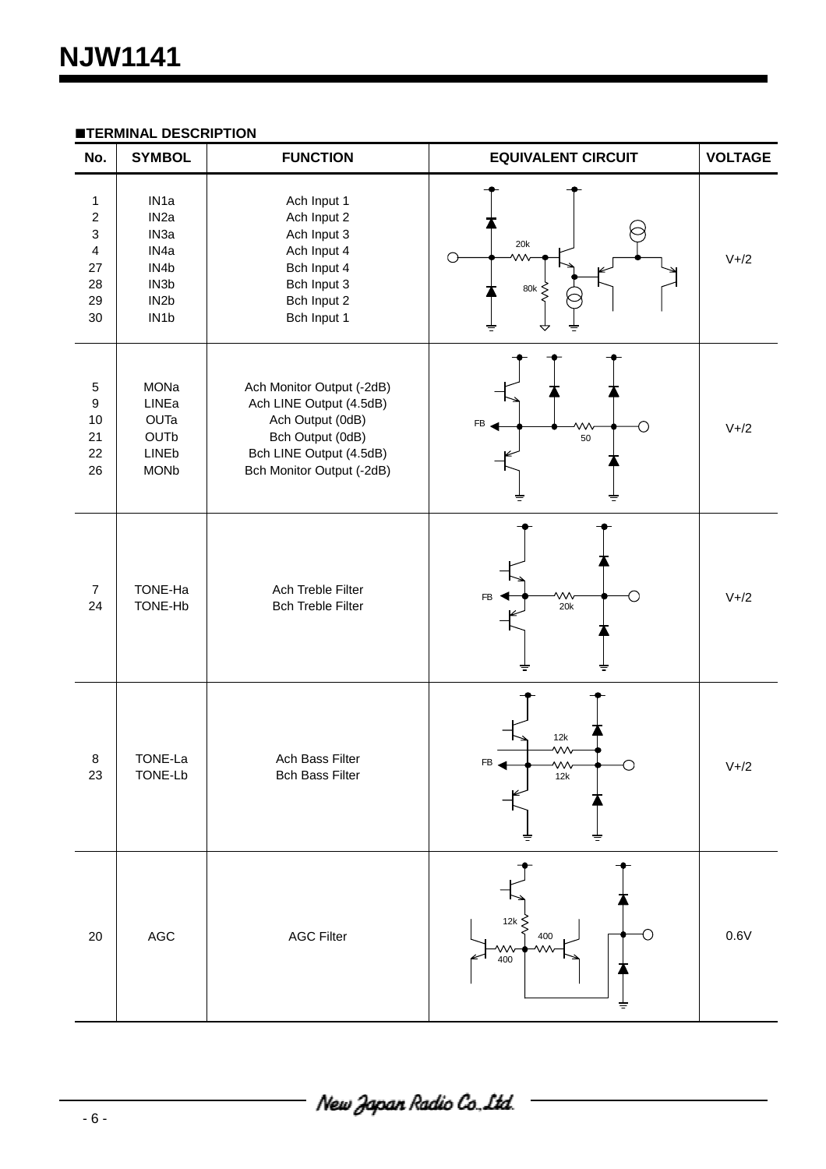| No.                                                                                      | <b>SYMBOL</b>                                                                                                                                        | <b>FUNCTION</b>                                                                                                                                      | <b>EQUIVALENT CIRCUIT</b>            | <b>VOLTAGE</b> |
|------------------------------------------------------------------------------------------|------------------------------------------------------------------------------------------------------------------------------------------------------|------------------------------------------------------------------------------------------------------------------------------------------------------|--------------------------------------|----------------|
| $\mathbf{1}$<br>$\boldsymbol{2}$<br>3<br>$\overline{\mathbf{4}}$<br>27<br>28<br>29<br>30 | IN <sub>1</sub> a<br>IN <sub>2a</sub><br>IN <sub>3a</sub><br>IN <sub>4a</sub><br>IN4b<br>IN <sub>3</sub> b<br>IN <sub>2</sub> b<br>IN <sub>1</sub> b | Ach Input 1<br>Ach Input 2<br>Ach Input 3<br>Ach Input 4<br>Bch Input 4<br>Bch Input 3<br>Bch Input 2<br>Bch Input 1                                 | 20k<br>$80\mathrm{k}$<br>ξ<br>ᢦ<br>≑ | $V+2$          |
| $\mathbf 5$<br>$\boldsymbol{9}$<br>10<br>21<br>22<br>26                                  | MONa<br>LINEa<br>OUTa<br>OUTb<br>LINEb<br><b>MONb</b>                                                                                                | Ach Monitor Output (-2dB)<br>Ach LINE Output (4.5dB)<br>Ach Output (0dB)<br>Bch Output (0dB)<br>Bch LINE Output (4.5dB)<br>Bch Monitor Output (-2dB) | <b>FB</b><br>50                      | $V+2$          |
| $\boldsymbol{7}$<br>24                                                                   | TONE-Ha<br>TONE-Hb                                                                                                                                   | Ach Treble Filter<br><b>Bch Treble Filter</b>                                                                                                        | w<br><b>FB</b><br>20k                | $V+2$          |
| 8<br>23                                                                                  | TONE-La<br>TONE-Lb                                                                                                                                   | Ach Bass Filter<br><b>Bch Bass Filter</b>                                                                                                            | 12k<br>w<br>FБ<br>VVV<br>12k<br>≑    | $V+2$          |
| 20                                                                                       | $\mathsf{AGC}$                                                                                                                                       | <b>AGC Filter</b>                                                                                                                                    | 12k $\zeta$<br>400<br>VV<br>400      | 0.6V           |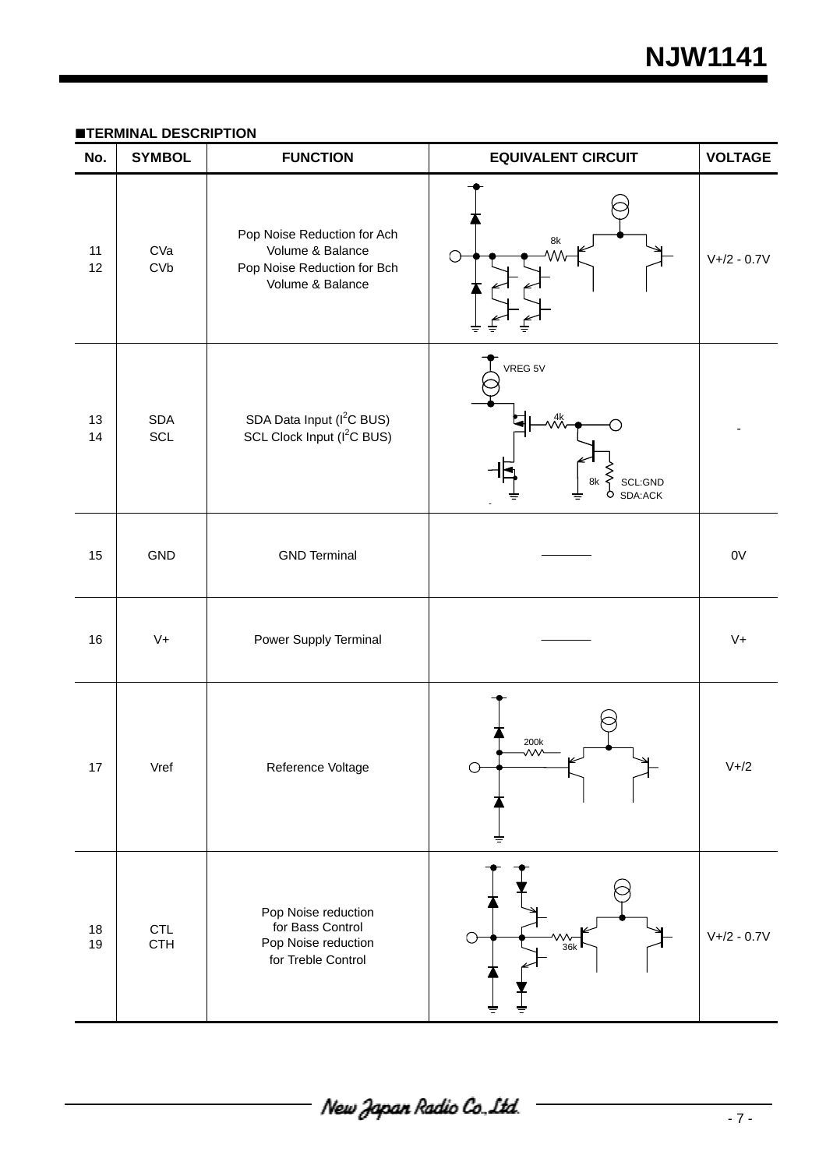#### **TERMINAL DESCRIPTION**

| No.      | <b>SYMBOL</b>     | <b>FUNCTION</b>                                                                                    | <b>EQUIVALENT CIRCUIT</b>                                               | <b>VOLTAGE</b>   |
|----------|-------------------|----------------------------------------------------------------------------------------------------|-------------------------------------------------------------------------|------------------|
| 11<br>12 | CVa<br>CVD        | Pop Noise Reduction for Ach<br>Volume & Balance<br>Pop Noise Reduction for Bch<br>Volume & Balance | 8k                                                                      | $V + / 2 - 0.7V$ |
| 13<br>14 | <b>SDA</b><br>SCL | SDA Data Input (I <sup>2</sup> C BUS)<br>SCL Clock Input (I <sup>2</sup> C BUS)                    | VREG 5V<br>SCL:GND<br>8k<br>SDA:ACK<br>O                                |                  |
| 15       | GND               | <b>GND Terminal</b>                                                                                |                                                                         | 0V               |
| 16       | $V +$             | Power Supply Terminal                                                                              |                                                                         | $V +$            |
| $17$     | Vref              | Reference Voltage                                                                                  | 200k<br>灬                                                               | $V+2$            |
| 18<br>19 | CTL<br><b>CTH</b> | Pop Noise reduction<br>for Bass Control<br>Pop Noise reduction<br>for Treble Control               | $\begin{array}{c}\n\mathsf{W}\rightarrow\mathsf{36k}\n\end{array}$<br>↷ | $V + / 2 - 0.7V$ |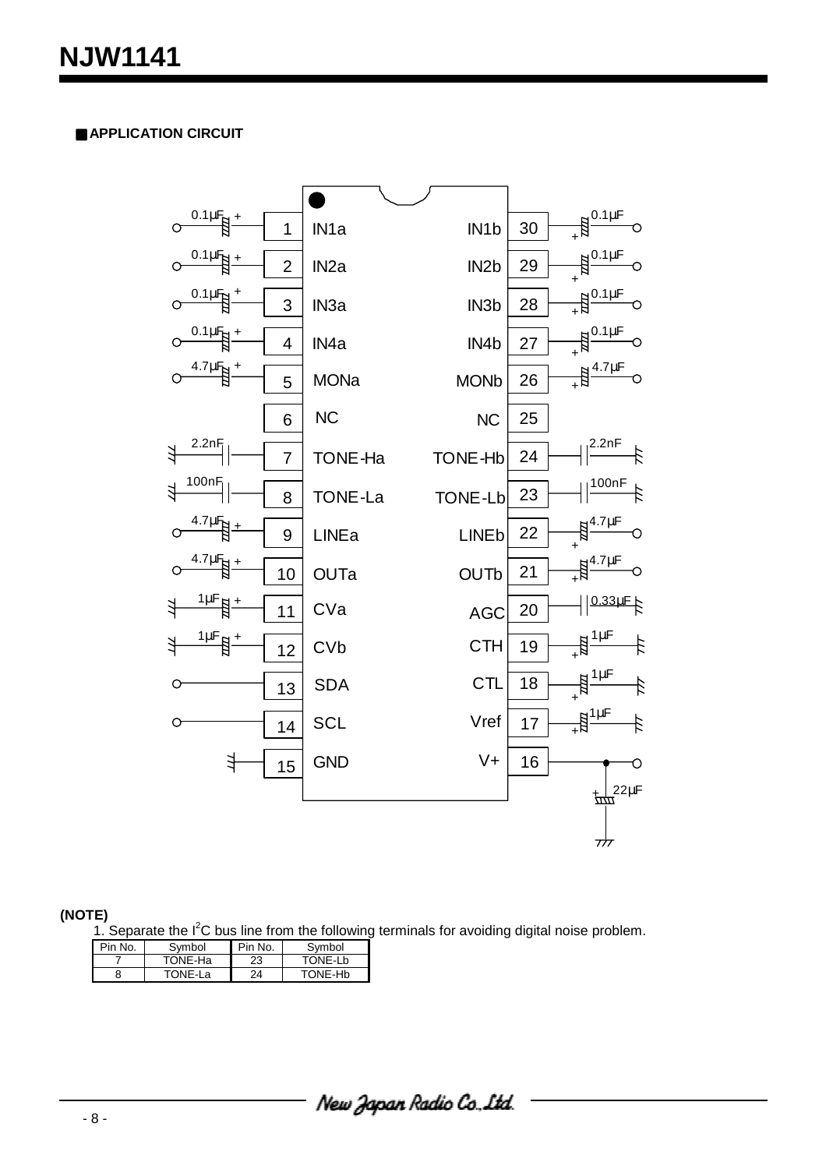# ■ **APPLICATION CIRCUIT**



#### **(NOTE)**

1. Separate the  $I^2C$  bus line from the following terminals for avoiding digital noise problem.

| Pin No. | Svmbol  | Pin No. | Symbol  |
|---------|---------|---------|---------|
|         | TONE-Ha | 23      | TONE-Lb |
| 8       | TONE-La | 24      | TONE-Hb |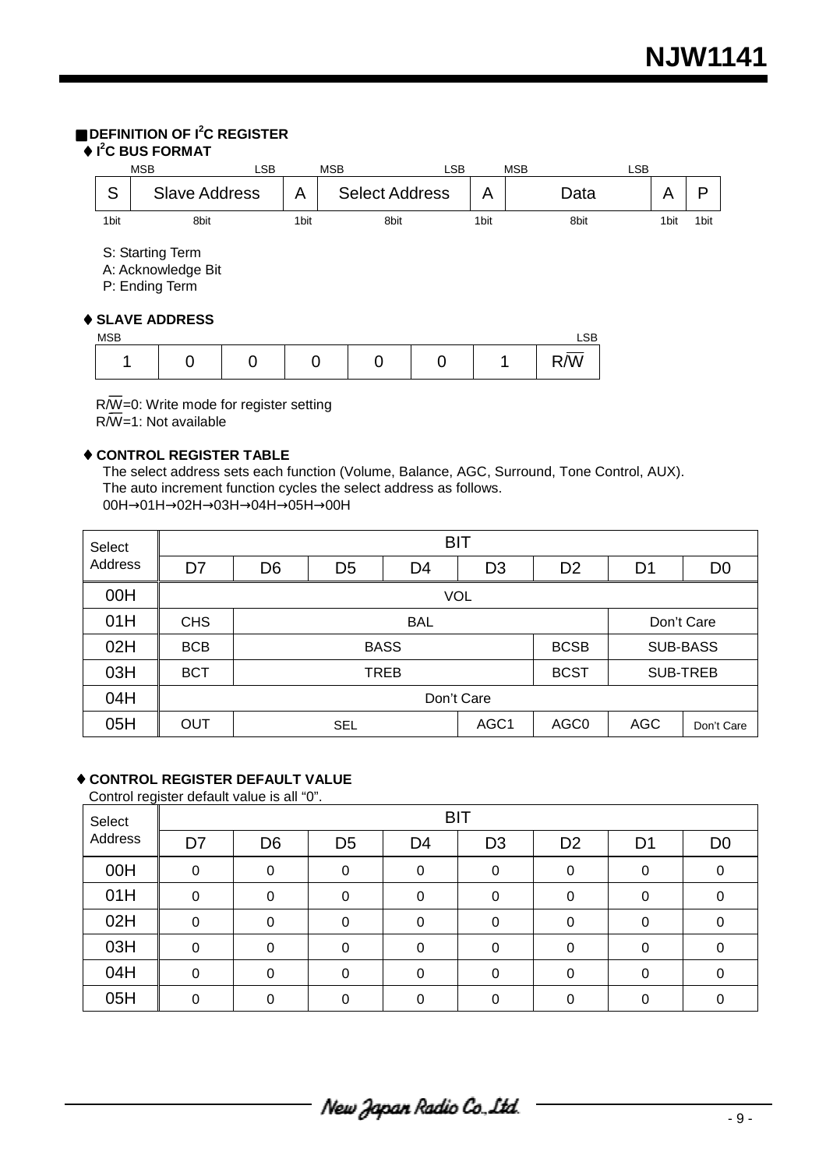# ■ **DEFINITION OF I<sup>2</sup> C REGISTER**

# ♦ **I2 C BUS FORMAT**

| <b>MSB</b>       |                                                                             | <b>LSB</b> |      | <b>MSB</b> |                       | LSB |      | <b>MSB</b> |            | <b>LSB</b> |                  |      |
|------------------|-----------------------------------------------------------------------------|------------|------|------------|-----------------------|-----|------|------------|------------|------------|------------------|------|
| S                | <b>Slave Address</b>                                                        |            | A    |            | <b>Select Address</b> |     | A    |            | Data       |            | A                | P    |
| 1 <sub>bit</sub> | 8bit                                                                        |            | 1bit |            | 8bit                  |     | 1bit |            | 8bit       |            | 1 <sub>bit</sub> | 1bit |
| <b>MSB</b>       | S: Starting Term<br>A: Acknowledge Bit<br>P: Ending Term<br>♦ SLAVE ADDRESS |            |      |            |                       |     |      |            | <b>LSB</b> |            |                  |      |
| ◢                | 0                                                                           | 0          | 0    |            | 0                     | 0   |      | 1          | R/W        |            |                  |      |
|                  |                                                                             |            |      |            |                       |     |      |            |            |            |                  |      |

 R/W=0: Write mode for register setting R/W=1: Not available

### ♦ **CONTROL REGISTER TABLE**

The select address sets each function (Volume, Balance, AGC, Surround, Tone Control, AUX). The auto increment function cycles the select address as follows. 00H→01H→02H→03H→04H→05H→00H

| Select  | <b>BIT</b>     |                |                                 |    |                 |                  |                |                |  |  |
|---------|----------------|----------------|---------------------------------|----|-----------------|------------------|----------------|----------------|--|--|
| Address | D <sub>7</sub> | D <sub>6</sub> | D <sub>5</sub>                  | D4 | D <sub>3</sub>  | D <sub>2</sub>   | D <sub>1</sub> | D <sub>0</sub> |  |  |
| 00H     |                | <b>VOL</b>     |                                 |    |                 |                  |                |                |  |  |
| 01H     | <b>CHS</b>     |                | <b>BAL</b><br>Don't Care        |    |                 |                  |                |                |  |  |
| 02H     | <b>BCB</b>     |                | <b>BASS</b>                     |    | <b>SUB-BASS</b> |                  |                |                |  |  |
| 03H     | <b>BCT</b>     |                | <b>BCST</b><br>TREB<br>SUB-TREB |    |                 |                  |                |                |  |  |
| 04H     |                |                | Don't Care                      |    |                 |                  |                |                |  |  |
| 05H     | <b>OUT</b>     |                | AGC1<br><b>SEL</b>              |    |                 | AGC <sub>0</sub> | <b>AGC</b>     | Don't Care     |  |  |

# ♦ **CONTROL REGISTER DEFAULT VALUE**

Control register default value is all "0".

| Select  | <b>BIT</b> |                |                |          |                |                |                |                |  |  |  |
|---------|------------|----------------|----------------|----------|----------------|----------------|----------------|----------------|--|--|--|
| Address | D7         | D <sub>6</sub> | D <sub>5</sub> | D4       | D <sub>3</sub> | D <sub>2</sub> | D <sub>1</sub> | D <sub>0</sub> |  |  |  |
| 00H     | $\Omega$   | $\Omega$       |                | ი        | 0              | 0              |                |                |  |  |  |
| 01H     | $\Omega$   | $\Omega$       |                | 0        | $\Omega$       | 0              | 0              | 0              |  |  |  |
| 02H     | 0          | $\Omega$       | 0              | 0        | 0              | 0              | 0              | 0              |  |  |  |
| 03H     | $\Omega$   | $\Omega$       | 0              | $\Omega$ | $\Omega$       | 0              | 0              | $\Omega$       |  |  |  |
| 04H     | $\Omega$   | $\Omega$       |                | ი        | 0              | 0              | 0              | 0              |  |  |  |
| 05H     | 0          | O              | ∩              | ∩        | U              | ი              |                |                |  |  |  |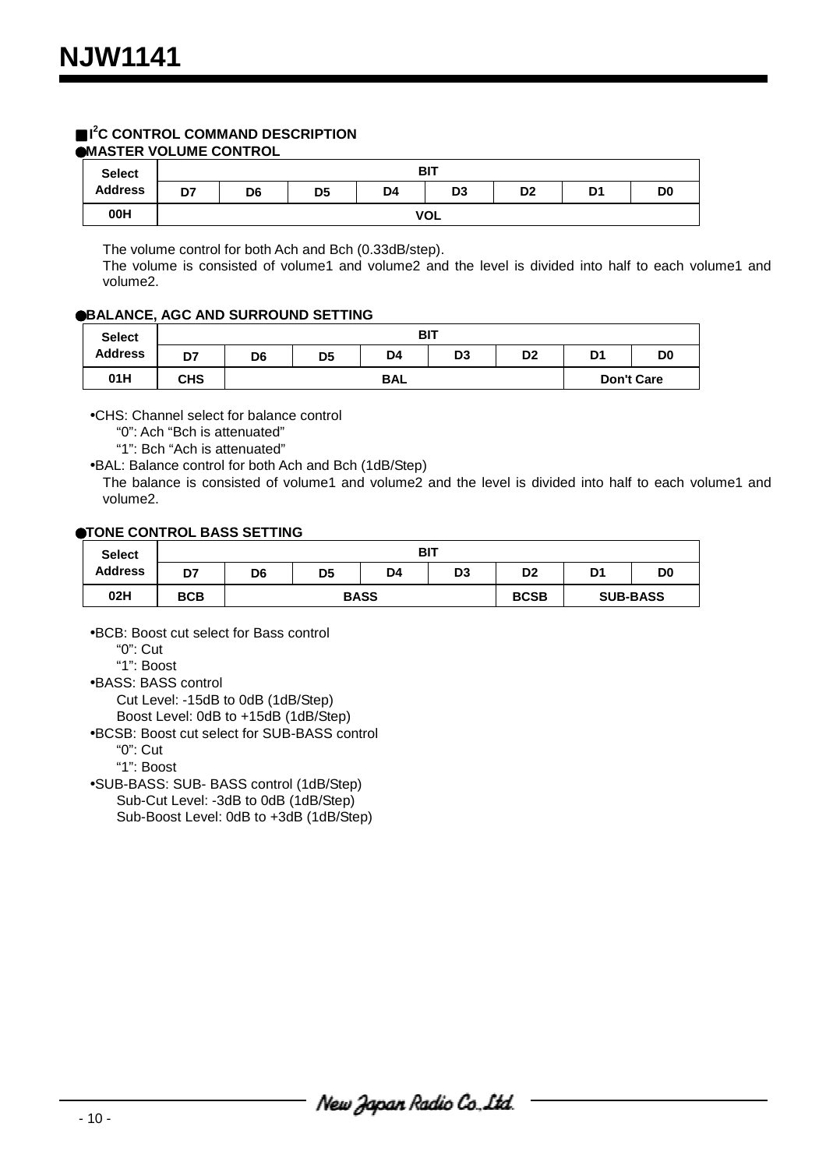#### ■ I<sup>2</sup>C CONTROL COMMAND DESCRIPTION ●**MASTER VOLUME CONTROL**

| <b>Select</b>  | <b>BIT</b> |                |                |    |                |                |    |                |  |  |
|----------------|------------|----------------|----------------|----|----------------|----------------|----|----------------|--|--|
| <b>Address</b> | D7         | D <sub>6</sub> | D <sub>5</sub> | D4 | D <sub>3</sub> | D <sub>2</sub> | D1 | D <sub>0</sub> |  |  |
| 00H            |            | <b>VOL</b>     |                |    |                |                |    |                |  |  |

The volume control for both Ach and Bch (0.33dB/step).

The volume is consisted of volume1 and volume2 and the level is divided into half to each volume1 and volume2.

#### ●**BALANCE, AGC AND SURROUND SETTING**

| <b>Select</b>  |            |                |                |    | BIT |                |    |    |  |
|----------------|------------|----------------|----------------|----|-----|----------------|----|----|--|
| <b>Address</b> | D7         | D <sub>6</sub> | D <sub>5</sub> | D4 | D3  | D <sub>2</sub> | D1 | D0 |  |
| 01H            | <b>CHS</b> |                | <b>BAL</b>     |    |     |                |    |    |  |

•CHS: Channel select for balance control

- "0": Ach "Bch is attenuated"
- "1": Bch "Ach is attenuated"
- •BAL: Balance control for both Ach and Bch (1dB/Step)

The balance is consisted of volume1 and volume2 and the level is divided into half to each volume1 and volume2.

#### ●**TONE CONTROL BASS SETTING**

| <b>Select</b>  |            |    |                | <b>BIT</b>  |             |    |                 |                |
|----------------|------------|----|----------------|-------------|-------------|----|-----------------|----------------|
| <b>Address</b> | D7         | D6 | D <sub>5</sub> | D4          | D3          | D2 | D1              | D <sub>0</sub> |
| 02H            | <b>BCB</b> |    |                | <b>BASS</b> | <b>BCSB</b> |    | <b>SUB-BASS</b> |                |

•BCB: Boost cut select for Bass control

"0": Cut

"1": Boost

•BASS: BASS control

Cut Level: -15dB to 0dB (1dB/Step) Boost Level: 0dB to +15dB (1dB/Step)

- •BCSB: Boost cut select for SUB-BASS control
	- "0": Cut

"1": Boost

•SUB-BASS: SUB- BASS control (1dB/Step) Sub-Cut Level: -3dB to 0dB (1dB/Step) Sub-Boost Level: 0dB to +3dB (1dB/Step)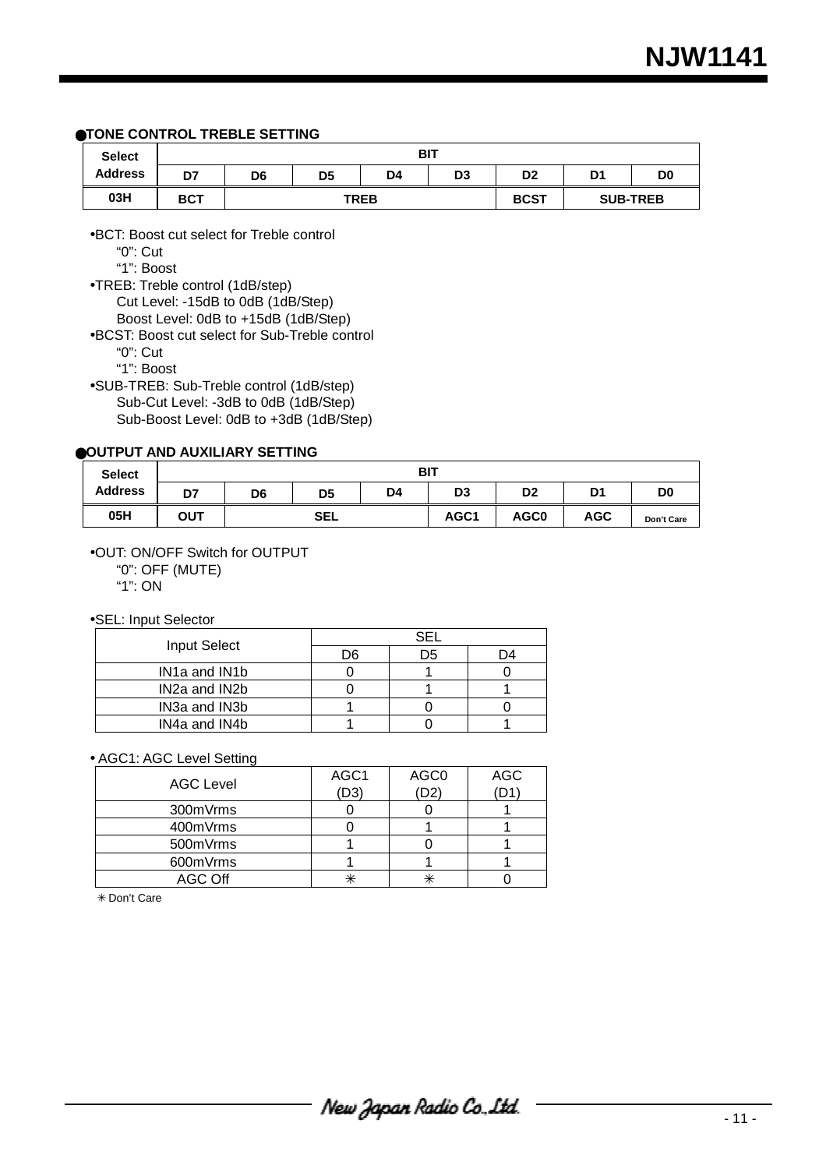#### ●**TONE CONTROL TREBLE SETTING**

| <b>Select</b>  |            |    |                |             | <b>BIT</b>  |                |                 |                |
|----------------|------------|----|----------------|-------------|-------------|----------------|-----------------|----------------|
| <b>Address</b> | D7         | D6 | D <sub>5</sub> | D4          | D3          | D <sub>2</sub> | D1              | D <sub>0</sub> |
| 03H            | <b>BCT</b> |    |                | <b>TREB</b> | <b>BCST</b> |                | <b>SUB-TREB</b> |                |

•BCT: Boost cut select for Treble control

"0": Cut

"1": Boost

•TREB: Treble control (1dB/step) Cut Level: -15dB to 0dB (1dB/Step) Boost Level: 0dB to +15dB (1dB/Step)

•BCST: Boost cut select for Sub-Treble control

"0": Cut

"1": Boost

•SUB-TREB: Sub-Treble control (1dB/step) Sub-Cut Level: -3dB to 0dB (1dB/Step) Sub-Boost Level: 0dB to +3dB (1dB/Step)

#### ●**OUTPUT AND AUXILIARY SETTING**

| <b>Select</b>  | <b>BIT</b> |     |                |                |                  |                  |            |                |  |  |
|----------------|------------|-----|----------------|----------------|------------------|------------------|------------|----------------|--|--|
| <b>Address</b> | D7         | D6  | D <sub>5</sub> | D <sub>4</sub> | D3               | D <sub>2</sub>   | D1         | D <sub>0</sub> |  |  |
| 05H            | ΟUΤ        | SEL |                |                | AGC <sub>1</sub> | AGC <sub>0</sub> | <b>AGC</b> | Don't Care     |  |  |

•OUT: ON/OFF Switch for OUTPUT

"0": OFF (MUTE)

"1": ON

#### •SEL: Input Selector

| <b>Input Select</b>                     | D6 | )5 |  |  |  |  |
|-----------------------------------------|----|----|--|--|--|--|
| IN <sub>1</sub> a and IN <sub>1</sub> b |    |    |  |  |  |  |
| IN <sub>2</sub> a and IN <sub>2</sub> b |    |    |  |  |  |  |
| IN3a and IN3b                           |    |    |  |  |  |  |
| IN4a and IN4b                           |    |    |  |  |  |  |

#### • AGC1: AGC Level Setting

| <b>AGC Level</b> | AGC1<br>(D3) | AGC0 | <b>AGC</b> |
|------------------|--------------|------|------------|
| 300mVrms         |              |      |            |
| 400mVrms         |              |      |            |
| 500mVrms         |              |      |            |
| 600mVrms         |              |      |            |
| AGC Off          | ∗            |      |            |

✳ Don't Care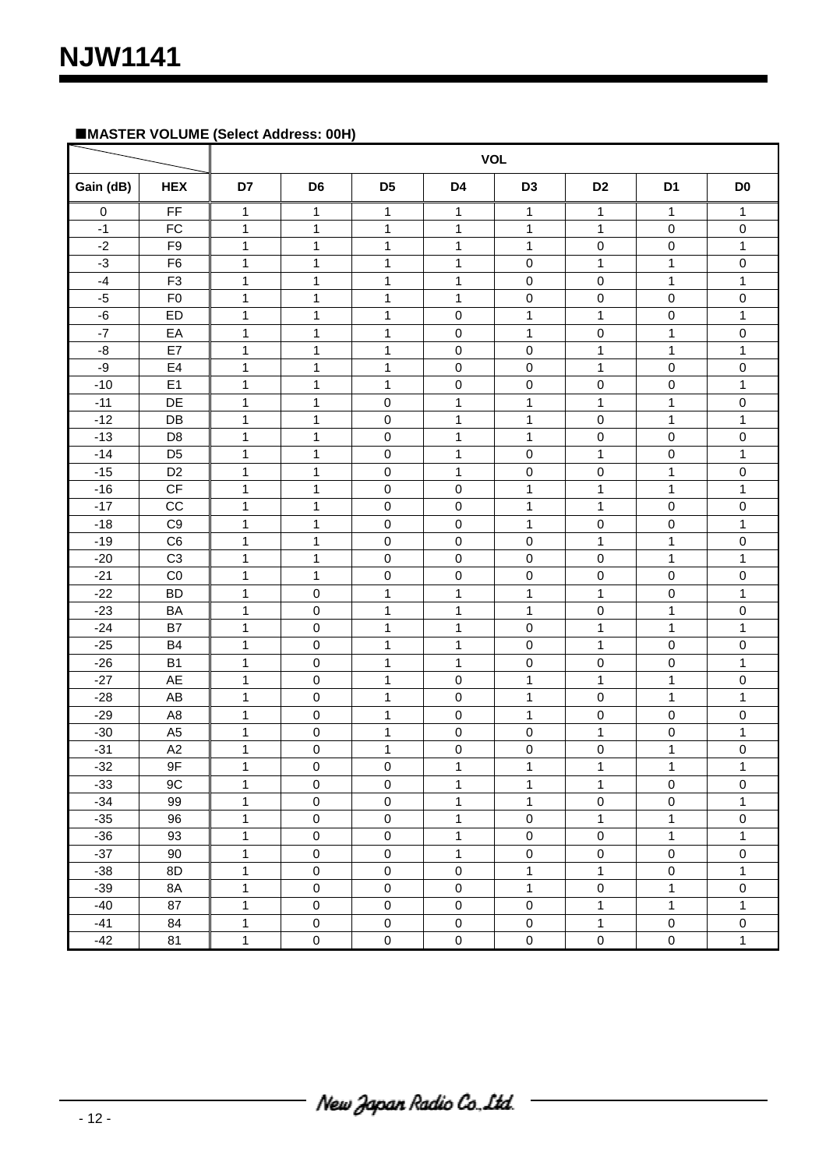# **MASTER VOLUME (Select Address: 00H)**

| <b>VOL</b> |                |              |                     |                |                     |                     |                     |                     |                     |
|------------|----------------|--------------|---------------------|----------------|---------------------|---------------------|---------------------|---------------------|---------------------|
| Gain (dB)  | <b>HEX</b>     | D7           | D <sub>6</sub>      | D <sub>5</sub> | D4                  | D <sub>3</sub>      | D <sub>2</sub>      | D <sub>1</sub>      | D <sub>0</sub>      |
| 0          | FF             | 1            | 1                   | 1              | 1                   | 1                   | 1                   | 1                   | 1                   |
| $-1$       | FC             | 1            | 1                   | 1              | $\mathbf{1}$        | 1                   | 1                   | $\mathbf 0$         | 0                   |
| $-2$       | F <sub>9</sub> | 1            | $\mathbf{1}$        | $\mathbf{1}$   | $\mathbf{1}$        | $\mathbf{1}$        | $\pmb{0}$           | $\pmb{0}$           | $\mathbf{1}$        |
| $-3$       | F <sub>6</sub> | 1            | 1                   | $\mathbf{1}$   | $\mathbf{1}$        | $\pmb{0}$           | $\mathbf 1$         | 1                   | $\pmb{0}$           |
| $-4$       | F <sub>3</sub> | 1            | $\mathbf{1}$        | $\mathbf{1}$   | 1                   | $\mathbf 0$         | $\pmb{0}$           | 1                   | 1                   |
| $-5$       | F <sub>0</sub> | $\mathbf{1}$ | $\mathbf{1}$        | $\mathbf{1}$   | $\mathbf{1}$        | $\pmb{0}$           | $\pmb{0}$           | $\mathbf 0$         | $\pmb{0}$           |
| $-6$       | <b>ED</b>      | 1            | $\mathbf{1}$        | $\mathbf{1}$   | 0                   | $\mathbf{1}$        | $\mathbf{1}$        | $\mathbf 0$         | 1                   |
| $-7$       | EA             | 1            | $\mathbf{1}$        | $\mathbf 1$    | 0                   | $\mathbf{1}$        | $\pmb{0}$           | 1                   | $\pmb{0}$           |
| $-8$       | E7             | $\mathbf{1}$ | $\mathbf{1}$        | 1              | 0                   | $\pmb{0}$           | $\mathbf{1}$        | $\mathbf{1}$        | $\mathbf{1}$        |
| -9         | E4             | $\mathbf{1}$ | $\mathbf{1}$        | $\mathbf 1$    | 0                   | $\pmb{0}$           | $\mathbf{1}$        | 0                   | $\pmb{0}$           |
| $-10$      | E1             | $\mathbf{1}$ | $\mathbf{1}$        | 1              | 0                   | $\pmb{0}$           | $\pmb{0}$           | 0                   | 1                   |
| $-11$      | DE             | $\mathbf{1}$ | $\mathbf 1$         | 0              | $\mathbf{1}$        | $\mathbf 1$         | $\mathbf 1$         | 1                   | 0                   |
| $-12$      | DB             | $\mathbf{1}$ | $\mathbf{1}$        | $\pmb{0}$      | $\mathbf{1}$        | $\mathbf{1}$        | $\pmb{0}$           | 1                   | 1                   |
| $-13$      | D <sub>8</sub> | 1            | 1                   | $\pmb{0}$      | 1                   | 1                   | $\pmb{0}$           | $\mathbf 0$         | 0                   |
| $-14$      | D <sub>5</sub> | 1            | 1                   | $\pmb{0}$      | $\mathbf{1}$        | $\pmb{0}$           | $\mathbf{1}$        | 0                   | $\mathbf{1}$        |
| $-15$      | D <sub>2</sub> | 1            | $\mathbf{1}$        | $\pmb{0}$      | $\mathbf{1}$        | $\pmb{0}$           | $\pmb{0}$           | 1                   | $\pmb{0}$           |
| $-16$      | CF             | 1            | $\mathbf{1}$        | 0              | 0                   | 1                   | 1                   | 1                   | 1                   |
| $-17$      | CC             | $\mathbf{1}$ | $\mathbf 1$         | 0              | 0                   | $\mathbf{1}$        | $\mathbf{1}$        | 0                   | 0                   |
| $-18$      | C <sub>9</sub> | 1            | 1                   | $\pmb{0}$      | 0                   | 1                   | $\pmb{0}$           | 0                   | $\mathbf{1}$        |
| $-19$      | C <sub>6</sub> | $\mathbf{1}$ | 1                   | $\pmb{0}$      | 0                   | $\mathbf 0$         | 1                   | 1                   | $\pmb{0}$           |
| $-20$      | C <sub>3</sub> | $\mathbf{1}$ | $\mathbf{1}$        | $\mathbf 0$    | 0                   | $\pmb{0}$           | $\pmb{0}$           | $\mathbf{1}$        | $\mathbf{1}$        |
| $-21$      | C <sub>0</sub> | 1            | $\mathbf{1}$        | $\mathbf 0$    | 0                   | $\pmb{0}$           | $\pmb{0}$           | $\pmb{0}$           | $\pmb{0}$           |
| $-22$      | <b>BD</b>      | $\mathbf{1}$ | $\pmb{0}$           | $\mathbf 1$    | 1                   | 1                   | 1                   | 0                   | $\mathbf{1}$        |
| $-23$      | <b>BA</b>      | $\mathbf{1}$ | $\pmb{0}$           | $\mathbf 1$    | 1                   | $\mathbf 1$         | $\pmb{0}$           | 1                   | 0                   |
| $-24$      | B7             | 1            | $\pmb{0}$           | 1              | $\mathbf{1}$        | $\pmb{0}$           | 1                   | 1                   | 1                   |
| $-25$      | B <sub>4</sub> | 1            | $\pmb{0}$           | 1              | 1                   | $\pmb{0}$           | 1                   | $\mathbf 0$         | 0                   |
| $-26$      | B <sub>1</sub> | $\mathbf{1}$ | $\pmb{0}$           | $\mathbf 1$    | $\mathbf{1}$        | $\pmb{0}$           | $\pmb{0}$           | 0                   | $\mathbf{1}$        |
| $-27$      | AE             | $\mathbf{1}$ | $\pmb{0}$           | $\mathbf{1}$   | 0                   | $\mathbf{1}$        | $\mathbf{1}$        | 1                   | 0                   |
| $-28$      | AB             | $\mathbf{1}$ | $\pmb{0}$           | $\mathbf 1$    | 0                   | 1                   | $\pmb{0}$           | 1                   | 1                   |
| $-29$      | A <sub>8</sub> | $\mathbf{1}$ | 0                   | $\mathbf{1}$   | 0                   | $\mathbf 1$         | $\pmb{0}$           | $\mathbf 0$         | 0                   |
| $-30$      | A <sub>5</sub> | $\mathbf{1}$ | $\mathbf 0$         | 1              | 0                   | $\pmb{0}$           | $\mathbf 1$         | $\mathbf 0$         | 1                   |
| $-31$      | A2             | $\mathbf{1}$ | $\pmb{0}$           | $\mathbf 1$    | 0                   | $\pmb{0}$           | $\pmb{0}$           | $\mathbf{1}$        | 0                   |
| $-32$      | 9F             | 1            | $\mathsf 0$         | $\mathbf 0$    | $\mathbf 1$         | $\mathbf 1$         | $\mathbf 1$         | $\mathbf 1$         | 1                   |
| $-33$      | 9C             | $\mathbf{1}$ | $\pmb{0}$           | $\mathbf 0$    | $\mathbf{1}$        | $\mathbf{1}$        | $\mathbf{1}$        | $\mathsf 0$         | $\pmb{0}$           |
| $-34$      | 99             | $\mathbf{1}$ | $\pmb{0}$           | $\pmb{0}$      | $\mathbf{1}$        | $\mathbf{1}$        | $\pmb{0}$           | $\pmb{0}$           | $\mathbf{1}$        |
| $-35$      | 96             | $\mathbf{1}$ | $\pmb{0}$           | $\pmb{0}$      | $\mathbf{1}$        | $\mathsf{O}\xspace$ | $\mathbf{1}$        | $\mathbf{1}$        | $\pmb{0}$           |
| $-36$      | 93             | $\mathbf{1}$ | $\pmb{0}$           | $\pmb{0}$      | $\mathbf{1}$        | $\mathsf{O}\xspace$ | $\mathsf 0$         | $\mathbf{1}$        | $\mathbf{1}$        |
| $-37$      | 90             | $\mathbf{1}$ | $\mathsf{O}\xspace$ | $\mathbf 0$    | $\mathbf{1}$        | $\mathsf{O}\xspace$ | $\pmb{0}$           | $\mathbf 0$         | $\mathbf 0$         |
| $-38$      | 8D             | $\mathbf{1}$ | $\pmb{0}$           | $\mathbf 0$    | $\mathsf{O}\xspace$ | $\mathbf{1}$        | $\mathbf{1}$        | $\mathsf{O}\xspace$ | $\mathbf{1}$        |
| $-39$      | 8A             | $\mathbf{1}$ | $\mathsf 0$         | $\mathbf 0$    | $\mathbf 0$         | $\mathbf{1}$        | $\pmb{0}$           | $\mathbf{1}$        | $\mathsf{O}\xspace$ |
| $-40$      | 87             | $\mathbf{1}$ | $\pmb{0}$           | $\mathbf 0$    | $\pmb{0}$           | $\pmb{0}$           | $\mathbf{1}$        | $\mathbf{1}$        | $\mathbf 1$         |
| $-41$      | 84             | $\mathbf{1}$ | $\pmb{0}$           | $\mathsf 0$    | $\pmb{0}$           | $\mathbf 0$         | $\mathbf{1}$        | $\mathbf 0$         | $\pmb{0}$           |
| $-42$      | 81             | $\mathbf{1}$ | $\mathsf{O}\xspace$ | $\mathbf 0$    | $\mathsf{O}\xspace$ | $\mathsf 0$         | $\mathsf{O}\xspace$ | $\mathsf 0$         | $\mathbf{1}$        |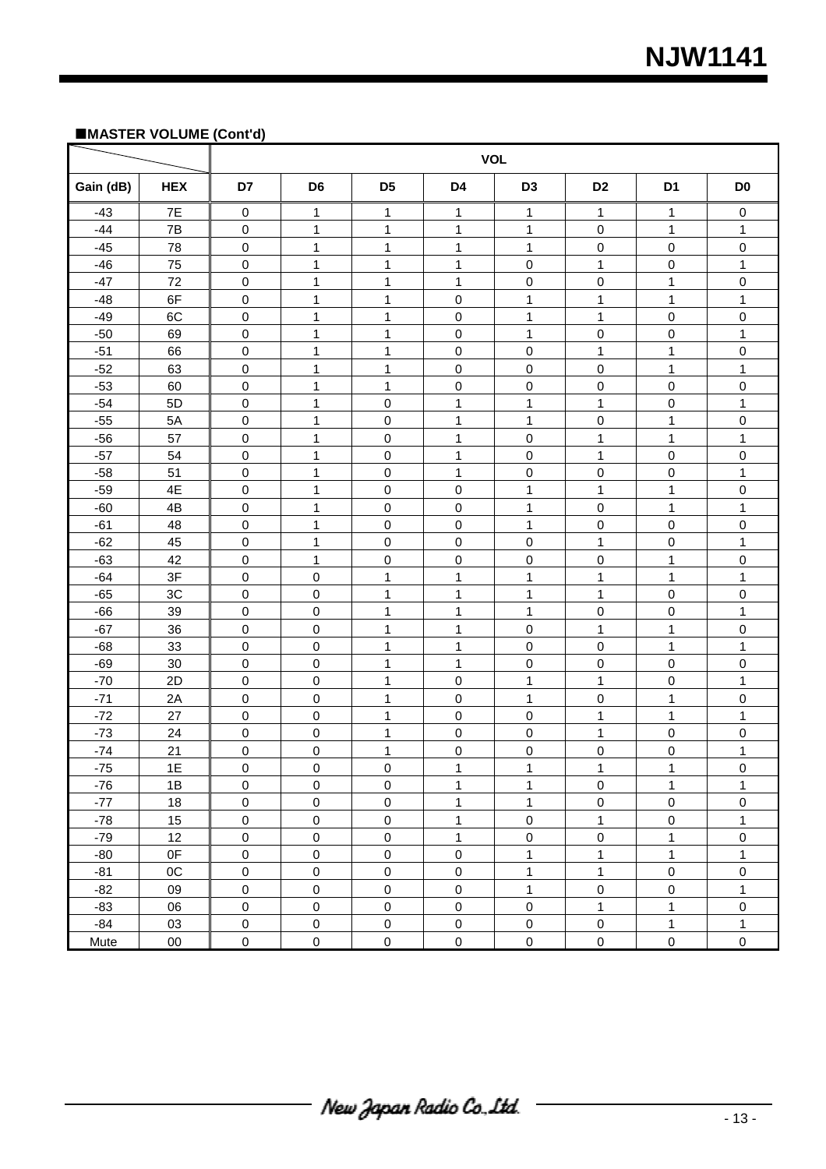# **NJW1141**

#### **MASTER VOLUME (Cont'd)**

|           |            |                     |                |                | <b>VOL</b>   |                  |                     |                |                     |
|-----------|------------|---------------------|----------------|----------------|--------------|------------------|---------------------|----------------|---------------------|
| Gain (dB) | <b>HEX</b> | D7                  | D <sub>6</sub> | D <sub>5</sub> | D4           | D <sub>3</sub>   | D <sub>2</sub>      | D <sub>1</sub> | D <sub>0</sub>      |
| $-43$     | 7E         | $\,0\,$             | 1              | 1              | 1            | 1                | 1                   | 1              | 0                   |
| $-44$     | 7B         | $\mathbf 0$         | 1              | 1              | 1            | 1                | 0                   | 1              | 1                   |
| $-45$     | 78         | $\pmb{0}$           | 1              | $\mathbf{1}$   | $\mathbf{1}$ | 1                | $\mathsf{O}\xspace$ | $\pmb{0}$      | $\pmb{0}$           |
| $-46$     | 75         | $\mathbf 0$         | $\mathbf{1}$   | $\mathbf{1}$   | $\mathbf{1}$ | $\pmb{0}$        | 1                   | 0              | $\mathbf{1}$        |
| $-47$     | 72         | $\pmb{0}$           | 1              | 1              | $\mathbf{1}$ | $\pmb{0}$        | 0                   | 1              | $\pmb{0}$           |
| $-48$     | 6F         | $\mathsf 0$         | $\mathbf 1$    | 1              | 0            | $\mathbf{1}$     | 1                   | $\mathbf{1}$   | $\mathbf{1}$        |
| $-49$     | 6C         | $\mathbf 0$         | $\mathbf{1}$   | $\mathbf{1}$   | 0            | $\mathbf{1}$     | $\overline{1}$      | $\mathbf 0$    | $\mathbf 0$         |
| $-50$     | 69         | $\mathbf 0$         | $\mathbf 1$    | 1              | 0            | $\mathbf 1$      | 0                   | 0              | 1                   |
| $-51$     | 66         | $\mathbf 0$         | $\mathbf 1$    | $\mathbf{1}$   | 0            | $\pmb{0}$        | $\mathbf 1$         | 1              | $\pmb{0}$           |
| $-52$     | 63         | $\mathbf 0$         | $\mathbf{1}$   | $\mathbf{1}$   | 0            | $\pmb{0}$        | $\mathbf 0$         | 1              | $\mathbf{1}$        |
| $-53$     | 60         | 0                   | $\mathbf{1}$   | 1              | 0            | $\pmb{0}$        | 0                   | $\mathbf 0$    | $\pmb{0}$           |
| $-54$     | 5D         | $\mathbf 0$         | 1              | $\,0\,$        | 1            | $\mathbf{1}$     | $\mathbf 1$         | $\mathbf 0$    | 1                   |
| $-55$     | 5A         | $\pmb{0}$           | 1              | $\mathbf 0$    | $\mathbf{1}$ | $\mathbf{1}$     | $\mathsf 0$         | $\mathbf{1}$   | $\pmb{0}$           |
| $-56$     | 57         | 0                   | 1              | 0              | 1            | $\mathbf 0$      | 1                   | 1              | 1                   |
| $-57$     | 54         | $\pmb{0}$           | 1              | $\,0\,$        | $\mathbf{1}$ | $\mathbf 0$      | 1                   | 0              | $\pmb{0}$           |
| $-58$     | 51         | $\mathbf 0$         | 1              | $\mathbf 0$    | $\mathbf{1}$ | $\mathbf 0$      | $\pmb{0}$           | 0              | $\mathbf{1}$        |
| $-59$     | 4E         | $\pmb{0}$           | 1              | $\pmb{0}$      | 0            | 1                | 1                   | 1              | $\pmb{0}$           |
| $-60$     | 4B         | $\pmb{0}$           | $\mathbf{1}$   | $\mathbf 0$    | 0            | $\mathbf{1}$     | $\mathsf 0$         | $\mathbf{1}$   | $\mathbf{1}$        |
| $-61$     | 48         | $\mathbf 0$         | $\mathbf{1}$   | $\mathbf 0$    | 0            | $\mathbf{1}$     | $\mathsf 0$         | $\mathsf 0$    | $\mathbf 0$         |
| $-62$     | 45         | 0                   | $\mathbf 1$    | $\pmb{0}$      | 0            | $\pmb{0}$        | 1                   | 0              | 1                   |
| $-63$     | 42         | $\mathbf 0$         | $\mathbf{1}$   | $\mathbf 0$    | 0            | $\pmb{0}$        | $\mathbf 0$         | $\mathbf{1}$   | $\pmb{0}$           |
| $-64$     | 3F         | $\mathbf 0$         | $\pmb{0}$      | $\mathbf{1}$   | $\mathbf{1}$ | $\mathbf{1}$     | 1                   | $\mathbf{1}$   | $\mathbf{1}$        |
| $-65$     | 3C         | $\mathbf 0$         | $\pmb{0}$      | 1              | $\mathbf 1$  | $\mathbf 1$      | 1                   | $\pmb{0}$      | $\pmb{0}$           |
| $-66$     | 39         | $\mathbf 0$         | $\pmb{0}$      | $\mathbf 1$    | 1            | 1                | 0                   | $\pmb{0}$      | 1                   |
| $-67$     | 36         | $\mathsf 0$         | $\pmb{0}$      | 1              | $\mathbf{1}$ | $\pmb{0}$        | $\mathbf 1$         | $\mathbf{1}$   | $\pmb{0}$           |
| $-68$     | 33         | 0                   | $\pmb{0}$      | 1              | 1            | $\boldsymbol{0}$ | $\pmb{0}$           | 1              | 1                   |
| $-69$     | 30         | $\pmb{0}$           | $\mathbf 0$    | $\mathbf 1$    | $\mathbf{1}$ | $\pmb{0}$        | 0                   | 0              | $\pmb{0}$           |
| $-70$     | 2D         | $\mathbf 0$         | $\mathbf 0$    | $\mathbf{1}$   | 0            | $\mathbf{1}$     | 1                   | 0              | $\mathbf{1}$        |
| $-71$     | 2A         | $\mathbf 0$         | $\pmb{0}$      | 1              | 0            | 1                | 0                   | 1              | $\pmb{0}$           |
| $-72$     | 27         | $\mathbf 0$         | $\pmb{0}$      | $\mathbf{1}$   | 0            | $\pmb{0}$        | 1                   | $\mathbf{1}$   | $\mathbf{1}$        |
| $-73$     | 24         | $\mathsf 0$         | $\pmb{0}$      | $\mathbf{1}$   | 0            | $\pmb{0}$        | 1                   | $\mathsf 0$    | $\mathbf 0$         |
| $-74$     | 21         | 0                   | $\pmb{0}$      | $\mathbf{1}$   | 0            | $\boldsymbol{0}$ | 0                   | 0              | 1                   |
| $-75$     | 1E         | 0                   | $\pmb{0}$      | 0              | 1            | 1                | 1                   | 1              | 0                   |
| $-76$     | 1B         | $\pmb{0}$           | $\mathbf 0$    | $\mathbf 0$    | $\mathbf{1}$ | $\mathbf{1}$     | $\mathbf 0$         | $\mathbf{1}$   | $\mathbf{1}$        |
| $-77$     | 18         | $\mathsf{O}$        | $\pmb{0}$      | $\pmb{0}$      | $\mathbf{1}$ | $\mathbf{1}$     | $\pmb{0}$           | $\mathsf 0$    | $\mathbf 0$         |
| $-78$     | 15         | $\mathsf{O}$        | $\mathbf 0$    | $\mathbf 0$    | $\mathbf{1}$ | $\pmb{0}$        | $\mathbf{1}$        | $\mathsf 0$    | $\mathbf{1}$        |
| $-79$     | 12         | $\mathsf{O}\xspace$ | $\mathbf 0$    | $\mathbf 0$    | $\mathbf{1}$ | $\mathbf 0$      | $\pmb{0}$           | $\mathbf{1}$   | $\mathsf{O}\xspace$ |
| $-80$     | 0F         | $\mathsf{O}\xspace$ | $\mathbf 0$    | $\mathbf 0$    | $\pmb{0}$    | $\mathbf{1}$     | $\mathbf{1}$        | $\mathbf{1}$   | $\mathbf{1}$        |
| $-81$     | OC         | $\boldsymbol{0}$    | $\mathbf 0$    | $\mathbf 0$    | $\pmb{0}$    | $\mathbf{1}$     | $\mathbf{1}$        | $\mathsf 0$    | $\mathbf 0$         |
| $-82$     | 09         | $\mathsf{O}\xspace$ | $\mathbf 0$    | $\mathsf 0$    | $\pmb{0}$    | $\mathbf{1}$     | $\pmb{0}$           | $\pmb{0}$      | $\mathbf{1}$        |
| $-83$     | 06         | $\mathbf 0$         | $\pmb{0}$      | $\mathbf 0$    | $\pmb{0}$    | $\pmb{0}$        | $\mathbf{1}$        | $\mathbf{1}$   | $\mathbf 0$         |
| $-84$     | 03         | $\mathsf{O}\xspace$ | $\mathbf 0$    | $\mathbf 0$    | $\mathbf 0$  | $\mathbf 0$      | $\overline{0}$      | $\mathbf{1}$   | $\mathbf{1}$        |
| Mute      | $00\,$     | $\mathsf{O}\xspace$ | $\mathbf 0$    | $\mathsf 0$    | $\pmb{0}$    | $\pmb{0}$        | $\pmb{0}$           | $\pmb{0}$      | $\mathbf 0$         |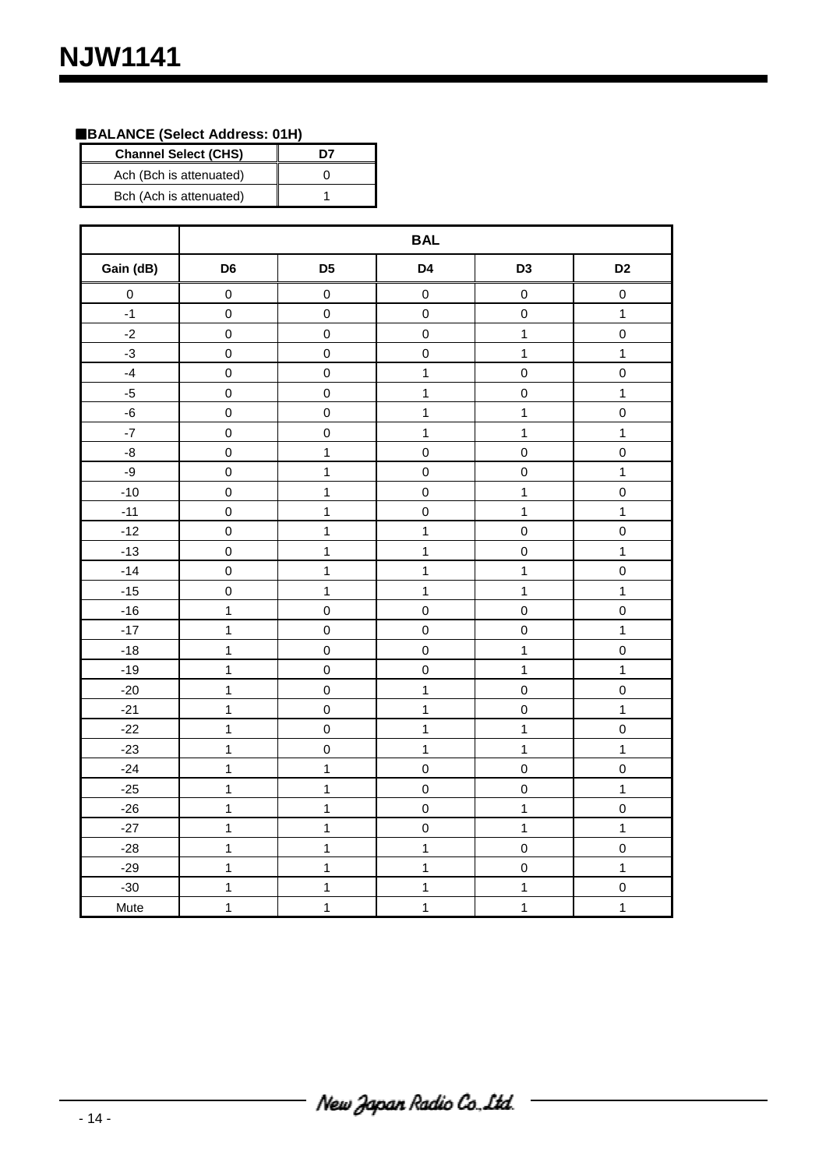# **BALANCE (Select Address: 01H)**

| <b>Channel Select (CHS)</b> | n7 |
|-----------------------------|----|
| Ach (Bch is attenuated)     |    |
| Bch (Ach is attenuated)     |    |

|                   | <b>BAL</b>     |                     |                     |                     |                     |
|-------------------|----------------|---------------------|---------------------|---------------------|---------------------|
| Gain (dB)         | D <sub>6</sub> | D <sub>5</sub>      | D4                  | D <sub>3</sub>      | D <sub>2</sub>      |
| $\mathbf 0$       | $\pmb{0}$      | $\mathsf 0$         | $\mathbf 0$         | $\mathbf 0$         | $\mathbf 0$         |
| $-1$              | $\mathbf 0$    | $\mathsf 0$         | $\mathbf 0$         | $\mathsf 0$         | $\mathbf 1$         |
| $-2$              | $\mathbf 0$    | $\mathsf 0$         | $\mathbf 0$         | $\mathbf{1}$        | $\mathbf 0$         |
| $-3$              | $\mathbf 0$    | $\mathsf 0$         | $\mathsf 0$         | $\overline{1}$      | $\mathbf{1}$        |
| $\textnormal{-4}$ | $\mathbf 0$    | $\mathsf 0$         | $\mathbf{1}$        | $\mathbf 0$         | $\mathbf 0$         |
| $-5$              | $\mathbf 0$    | $\mathsf{O}\xspace$ | $\mathbf{1}$        | $\mathbf 0$         | $\mathbf 1$         |
| $\mbox{-}6$       | $\mathbf 0$    | $\mathsf 0$         | $\mathbf{1}$        | $\overline{1}$      | $\mathbf 0$         |
| $\textnormal{-}7$ | $\mathbf 0$    | $\mathsf 0$         | $\mathbf{1}$        | $\mathbf{1}$        | $\mathbf 1$         |
| $\mbox{-}8$       | $\mathbf 0$    | $\mathbf{1}$        | $\mathbf 0$         | $\mathbf 0$         | $\mathsf{O}\xspace$ |
| $-9$              | $\mathbf 0$    | $\mathbf{1}$        | $\mathbf 0$         | $\pmb{0}$           | 1                   |
| $-10$             | $\mathbf 0$    | $\mathbf{1}$        | $\mathsf 0$         | $\mathbf 1$         | $\mathsf 0$         |
| $-11$             | $\mathbf 0$    | $\mathbf{1}$        | $\mathbf 0$         | $\overline{1}$      | $\mathbf{1}$        |
| $-12$             | $\pmb{0}$      | $\mathbf{1}$        | $\overline{1}$      | $\mathbf 0$         | $\mathbf 0$         |
| $-13$             | $\mathbf 0$    | $\mathbf{1}$        | $\mathbf{1}$        | $\pmb{0}$           | $\mathbf 1$         |
| $-14$             | $\mathbf 0$    | $\mathbf 1$         | $\mathbf{1}$        | $\overline{1}$      | $\mathbf 0$         |
| $-15$             | $\mathbf 0$    | $\mathbf{1}$        | $\mathbf{1}$        | $\mathbf{1}$        | $\mathbf{1}$        |
| $-16$             | $\mathbf{1}$   | $\pmb{0}$           | $\mathbf 0$         | $\pmb{0}$           | $\mathbf 0$         |
| $-17$             | $\mathbf{1}$   | $\mathbf 0$         | $\mathbf 0$         | $\pmb{0}$           | $\mathbf{1}$        |
| $-18$             | $\mathbf{1}$   | $\pmb{0}$           | $\mathsf 0$         | $\mathbf{1}$        | $\mathbf 0$         |
| $-19$             | $\mathbf{1}$   | $\mathsf 0$         | $\mathsf{O}\xspace$ | $\mathbf{1}$        | $\mathbf{1}$        |
| $-20$             | $\mathbf{1}$   | $\mathsf{O}\xspace$ | $\mathbf{1}$        | $\pmb{0}$           | $\mathbf 0$         |
| $-21$             | $\mathbf{1}$   | $\mathsf{O}\xspace$ | $\mathbf{1}$        | $\mathbf 0$         | $\mathbf{1}$        |
| $-22$             | $\mathbf{1}$   | $\mathsf 0$         | $\mathbf{1}$        | $\mathbf{1}$        | $\mathbf 0$         |
| $-23$             | $\mathbf{1}$   | $\mathbf 0$         | $\mathbf{1}$        | $\mathbf 1$         | $\mathbf{1}$        |
| $-24$             | $\mathbf{1}$   | $\mathbf{1}$        | $\mathsf 0$         | $\mathsf{O}\xspace$ | $\mathbf 0$         |
| $-25$             | $\mathbf{1}$   | $\mathbf{1}$        | $\mathsf 0$         | $\pmb{0}$           | $\mathbf{1}$        |
| $-26$             | $\mathbf{1}$   | $\mathbf{1}$        | $\mathsf 0$         | $\mathbf{1}$        | $\mathbf 0$         |
| $-27$             | $\mathbf{1}$   | $\overline{1}$      | $\pmb{0}$           | $\overline{1}$      | $\mathbf{1}$        |
| $-28$             | $\mathbf{1}$   | $\mathbf{1}$        | $\mathbf{1}$        | $\mathbf 0$         | $\mathbf 0$         |
| $-29$             | $\mathbf{1}$   | $\mathbf 1$         | $\mathbf{1}$        | $\pmb{0}$           | $\mathbf{1}$        |
| $-30$             | $\mathbf{1}$   | $\mathbf 1$         | $\mathbf{1}$        | $\mathbf{1}$        | $\mathbf 0$         |
| Mute              | $\mathbf{1}$   | $\mathbf{1}$        | $\mathbf{1}$        | $\mathbf{1}$        | $\mathbf{1}$        |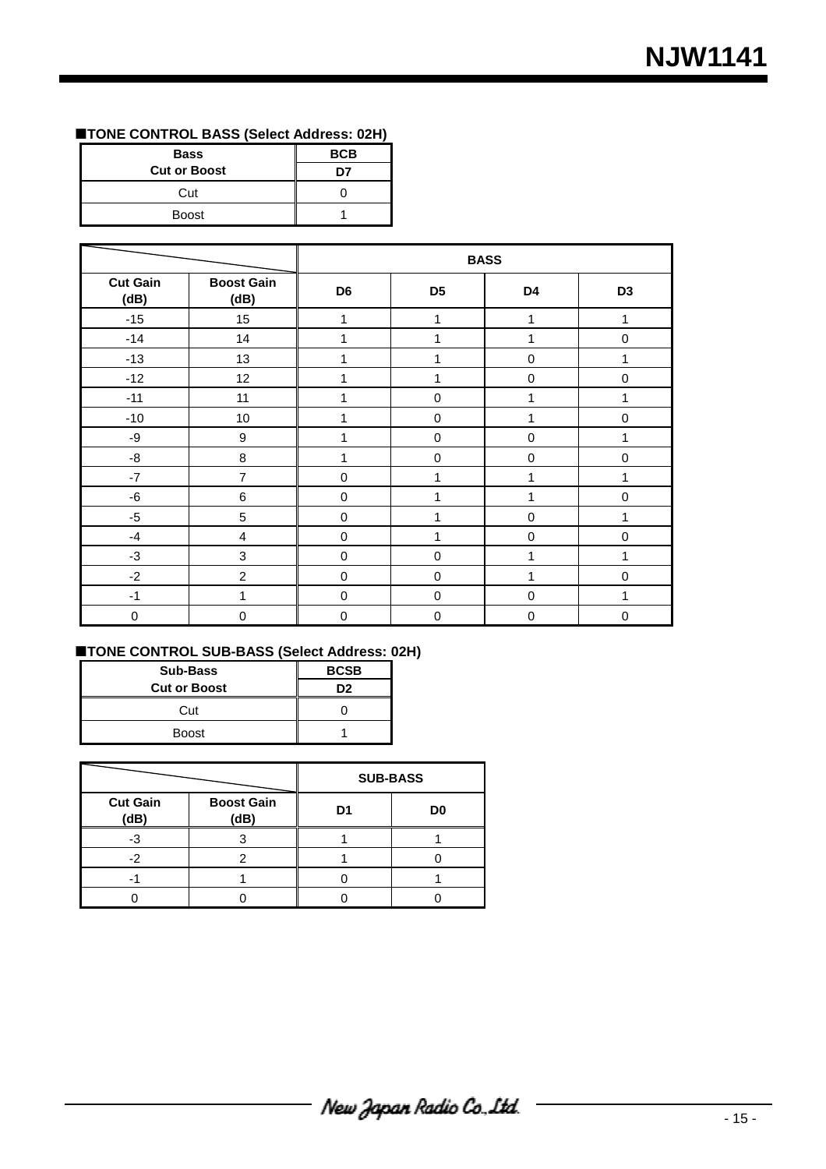# **TONE CONTROL BASS (Select Address: 02H)**

| <b>Bass</b>         | <b>BCB</b> |  |
|---------------------|------------|--|
| <b>Cut or Boost</b> |            |  |
| Cut                 |            |  |
| <b>Boost</b>        |            |  |

|                         |                           | <b>BASS</b>    |                |             |                |
|-------------------------|---------------------------|----------------|----------------|-------------|----------------|
| <b>Cut Gain</b><br>(dB) | <b>Boost Gain</b><br>(dB) | D <sub>6</sub> | D <sub>5</sub> | D4          | D <sub>3</sub> |
| $-15$                   | 15                        | 1              | 1              | 1           | 1              |
| $-14$                   | 14                        | 1              | 1              | 4           | $\mathbf 0$    |
| $-13$                   | 13                        | 1              | 1              | 0           | 1              |
| $-12$                   | 12                        | 1              | 1              | $\mathbf 0$ | $\mathbf 0$    |
| $-11$                   | 11                        | 1              | $\mathbf 0$    | 1           | 1              |
| $-10$                   | 10                        | 1              | 0              |             | $\pmb{0}$      |
| $-9$                    | $\boldsymbol{9}$          | 1              | 0              | $\mathbf 0$ | 1              |
| -8                      | 8                         | 1              | 0              | $\mathbf 0$ | $\pmb{0}$      |
| $-7$                    | $\overline{7}$            | $\mathbf 0$    | 1              |             | 1              |
| $-6$                    | $6\phantom{1}6$           | $\mathbf 0$    | 1              |             | $\mathbf 0$    |
| $-5$                    | 5                         | $\mathbf 0$    | 1              | $\mathbf 0$ | 1              |
| $-4$                    | $\overline{4}$            | $\mathbf 0$    | 1              | $\mathbf 0$ | $\mathbf 0$    |
| $-3$                    | $\mathbf{3}$              | $\mathbf 0$    | 0              |             | 1              |
| $-2$                    | $\overline{2}$            | $\mathbf 0$    | $\mathbf 0$    | 1           | $\mathbf 0$    |
| $-1$                    | 1                         | $\mathbf 0$    | $\mathbf 0$    | $\mathbf 0$ | 1              |
| $\mathsf 0$             | $\mathbf 0$               | $\mathbf 0$    | 0              | $\mathbf 0$ | $\mathbf 0$    |

#### **TONE CONTROL SUB-BASS (Select Address: 02H)**

| <b>Sub-Bass</b><br><b>Cut or Boost</b> | <b>BCSB</b><br>פח |  |
|----------------------------------------|-------------------|--|
| Cut                                    |                   |  |
| <b>Boost</b>                           |                   |  |

|                         |                           | <b>SUB-BASS</b> |                |  |
|-------------------------|---------------------------|-----------------|----------------|--|
| <b>Cut Gain</b><br>(dB) | <b>Boost Gain</b><br>(dB) | D1              | D <sub>0</sub> |  |
|                         |                           |                 |                |  |
|                         |                           |                 |                |  |
|                         |                           |                 |                |  |
|                         |                           |                 |                |  |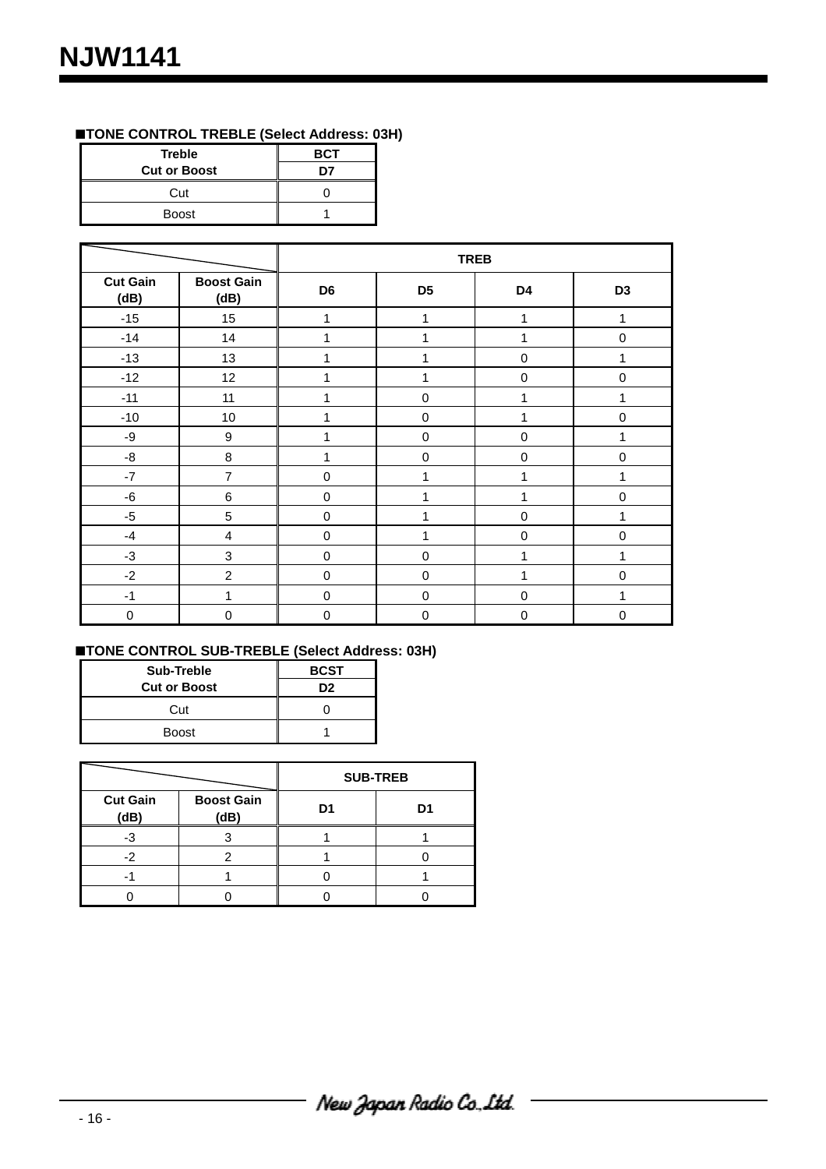# **TONE CONTROL TREBLE (Select Address: 03H)**

| <b>Treble</b>       | <b>BCT</b> |  |
|---------------------|------------|--|
| <b>Cut or Boost</b> |            |  |
| Cut                 |            |  |
| <b>Boost</b>        |            |  |

|                         |                           | <b>TREB</b>    |                |             |                |
|-------------------------|---------------------------|----------------|----------------|-------------|----------------|
| <b>Cut Gain</b><br>(dB) | <b>Boost Gain</b><br>(dB) | D <sub>6</sub> | D <sub>5</sub> | D4          | D <sub>3</sub> |
| $-15$                   | 15                        | 1              | 1              | 1           | 1              |
| $-14$                   | 14                        | 1              | 1              | 1           | $\mathbf 0$    |
| $-13$                   | 13                        | 1              | 1              | $\pmb{0}$   | 1              |
| $-12$                   | 12                        | 1              | 1              | 0           | $\mathbf 0$    |
| $-11$                   | 11                        | 1              | $\mathbf 0$    | 1           | 1              |
| $-10$                   | $10$                      | 1              | $\mathbf 0$    | 1           | $\pmb{0}$      |
| $-9$                    | $\boldsymbol{9}$          | 1              | $\mathbf 0$    | $\pmb{0}$   | 1              |
| -8                      | 8                         | 1              | $\mathbf 0$    | $\mathbf 0$ | $\mathbf 0$    |
| $-7$                    | $\overline{7}$            | 0              | 1              | 1           | 1              |
| -6                      | 6                         | 0              | 1              | 1           | $\mathbf 0$    |
| $-5$                    | 5                         | 0              | 1              | $\pmb{0}$   | 1              |
| $-4$                    | $\overline{\mathbf{4}}$   | 0              | 1              | $\pmb{0}$   | $\mathbf 0$    |
| $-3$                    | 3                         | 0              | $\mathbf 0$    | 1           | 1              |
| $-2$                    | $\overline{c}$            | 0              | 0              | 1           | $\mathbf 0$    |
| $-1$                    | 1                         | 0              | $\mathbf 0$    | $\mathbf 0$ | 1              |
| $\mathbf 0$             | $\mathbf 0$               | 0              | $\mathbf 0$    | $\mathbf 0$ | $\mathbf 0$    |

# **TONE CONTROL SUB-TREBLE (Select Address: 03H)**

| Sub-Treble          | <b>BCST</b>    |
|---------------------|----------------|
| <b>Cut or Boost</b> | D <sub>2</sub> |
| Cut                 |                |
| <b>Boost</b>        |                |

|                         |                           |    | <b>SUB-TREB</b> |
|-------------------------|---------------------------|----|-----------------|
| <b>Cut Gain</b><br>(dB) | <b>Boost Gain</b><br>(dB) | D1 | D1              |
|                         |                           |    |                 |
| -2                      |                           |    |                 |
|                         |                           |    |                 |
|                         |                           |    |                 |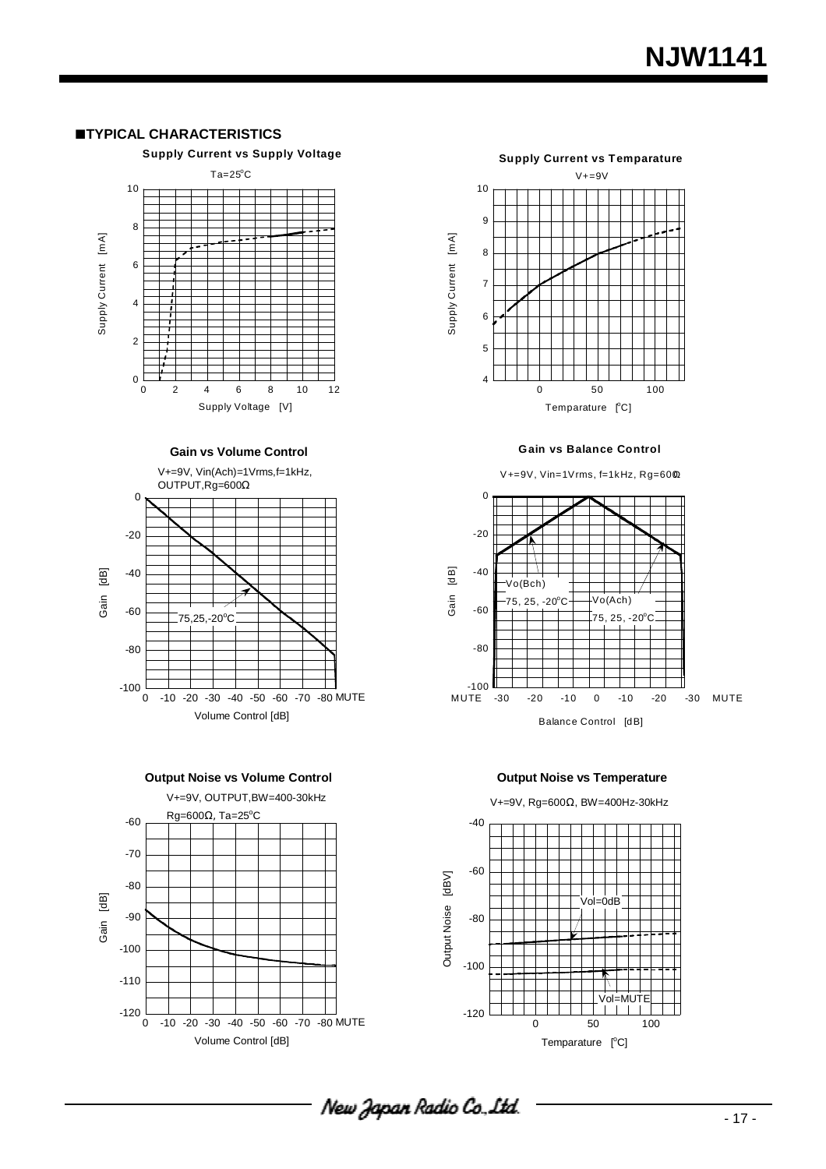#### **TYPICAL CHARACTERISTICS**

 $\overline{0}$ 



**Gain vs Volume Control**

0 2 4 6 8 10 12

Supply Voltage [V]







**Gain vs Balance Control**

V+=9V, Vin=1Vrms, f=1kHz, Rg=600Ω





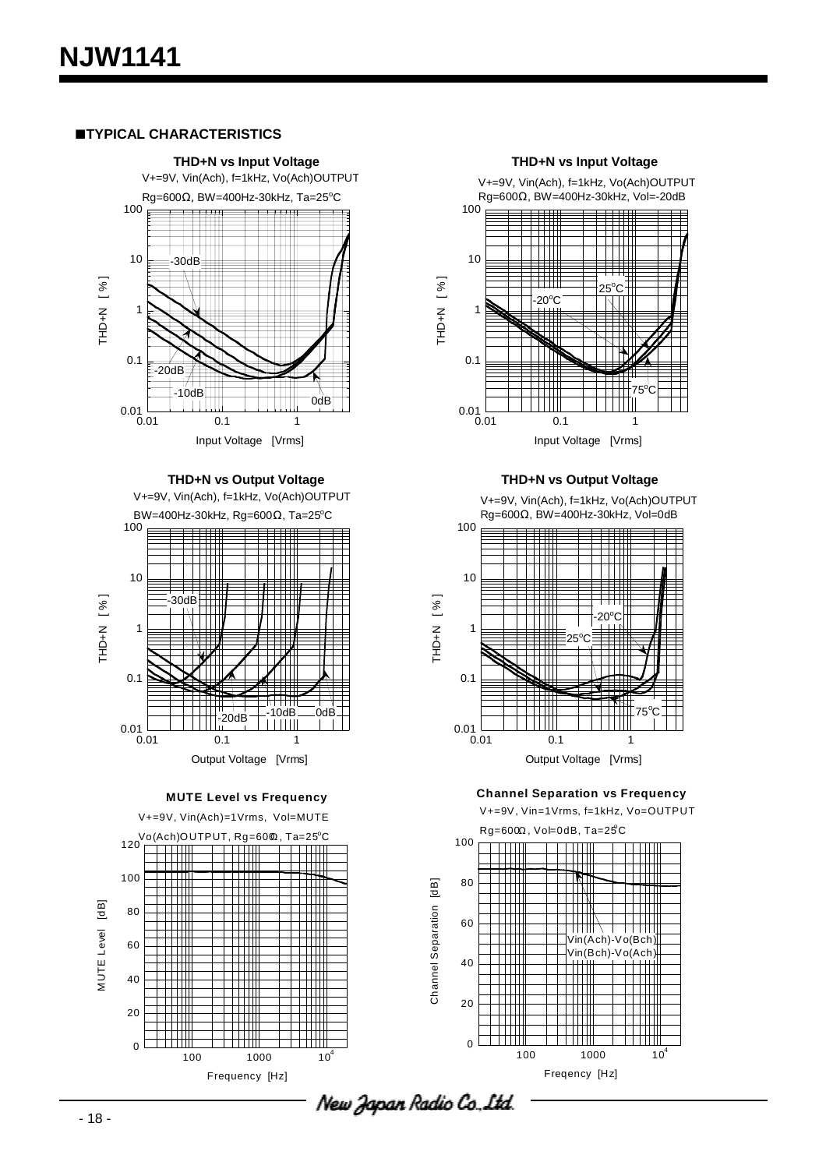#### **TYPICAL CHARACTERISTICS**



**THD+N vs Output Voltage**

V+=9V, Vin(Ach), f=1kHz, Vo(Ach)OUTPUT BW=400Hz-30kHz, Rg=600 $\Omega$ , Ta=25°C



**MUTE Level vs Frequency**







Input Voltage [Vrms]

**THD+N vs Output Voltage**

V+=9V, Vin(Ach), f=1kHz, Vo(Ach)OUTPUT Rg=600Ω, BW=400Hz-30kHz, Vol=0dB



**Channel Separation vs Frequency**

V+=9V, Vin=1Vrms, f=1kHz, Vo=OUTPUT  $Rg=600\Omega$ , Vol=0dB, Ta=25°C

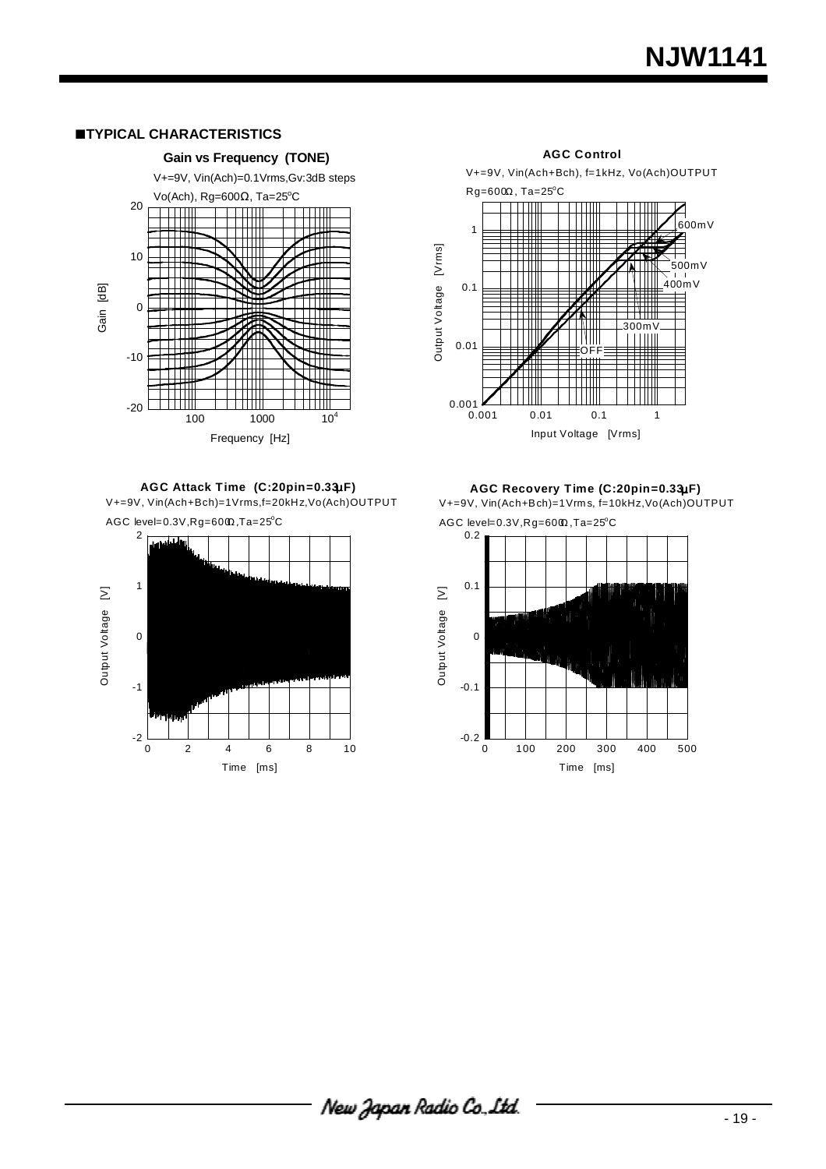# **NJW1141**

#### **TYPICAL CHARACTERISTICS**



**AGC Attack Time (C:20pin=0.33**µ**F)** V+=9V, Vin(Ach+Bch)=1Vrms,f=20kHz,Vo(Ach)OUTPUT



V+=9V, Vin(Ach+Bch), f=1kHz, Vo(Ach)OUTPUT  $Rg = 600\Omega$ , Ta=25°C <u> TITULI</u> <u> Film</u> TTTT ,600mV<br>⊟ 1 Output Voltage [Vrms] Output Voltage [Vrms]  $\Box$ 500mV I AL I DI 400mV 0.1 300mV TIYITI.  $111111$ 0.01 OFF 0.001  $0.001$  0.01 0.1 1 Input Voltage [Vrms]

**AGC Control** 

**AGC Recovery Time (C:20pin=0.33**µ**F)** V+=9V, Vin(Ach+Bch)=1Vrms, f=10kHz,Vo(Ach)OUTPUT  $AGC$  level=0.3V,Rg=60 $@$ ,Ta=25°C